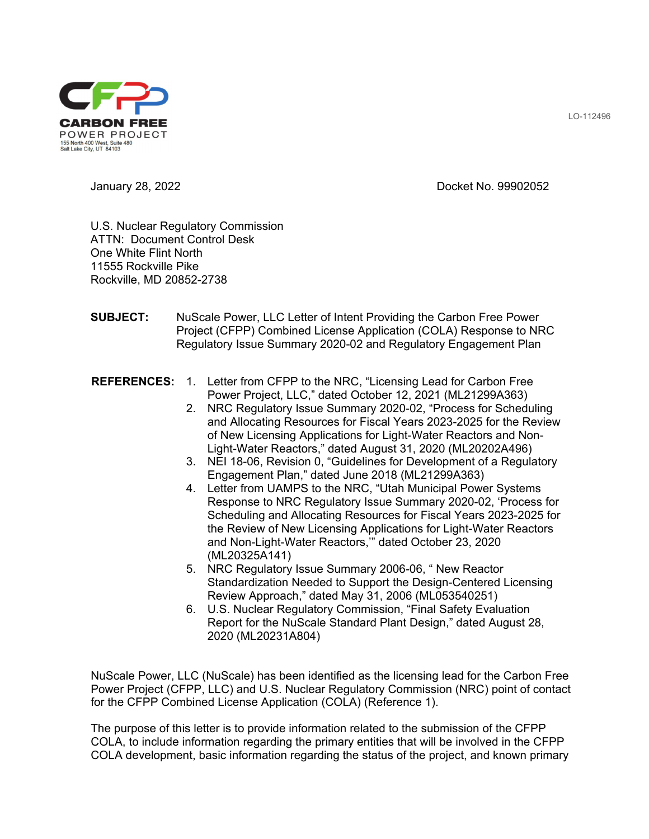

January 28, 2022 Docket No. 99902052

U.S. Nuclear Regulatory Commission ATTN: Document Control Desk One White Flint North 11555 Rockville Pike Rockville, MD 20852-2738

- **SUBJECT:** NuScale Power, LLC Letter of Intent Providing the Carbon Free Power Project (CFPP) Combined License Application (COLA) Response to NRC Regulatory Issue Summary 2020-02 and Regulatory Engagement Plan
- **REFERENCES:** 1. Letter from CFPP to the NRC, "Licensing Lead for Carbon Free Power Project, LLC," dated October 12, 2021 (ML21299A363)
	- 2. NRC Regulatory Issue Summary 2020-02, "Process for Scheduling and Allocating Resources for Fiscal Years 2023-2025 for the Review of New Licensing Applications for Light-Water Reactors and Non-Light-Water Reactors," dated August 31, 2020 (ML20202A496)
	- 3. NEI 18-06, Revision 0, "Guidelines for Development of a Regulatory Engagement Plan," dated June 2018 (ML21299A363)
	- 4. Letter from UAMPS to the NRC, "Utah Municipal Power Systems Response to NRC Regulatory Issue Summary 2020-02, 'Process for Scheduling and Allocating Resources for Fiscal Years 2023-2025 for the Review of New Licensing Applications for Light-Water Reactors and Non-Light-Water Reactors,'" dated October 23, 2020 (ML20325A141)
	- 5. NRC Regulatory Issue Summary 2006-06, " New Reactor Standardization Needed to Support the Design-Centered Licensing Review Approach," dated May 31, 2006 (ML053540251)
	- 6. U.S. Nuclear Regulatory Commission, "Final Safety Evaluation Report for the NuScale Standard Plant Design," dated August 28, 2020 (ML20231A804)

NuScale Power, LLC (NuScale) has been identified as the licensing lead for the Carbon Free Power Project (CFPP, LLC) and U.S. Nuclear Regulatory Commission (NRC) point of contact for the CFPP Combined License Application (COLA) (Reference 1).

The purpose of this letter is to provide information related to the submission of the CFPP COLA, to include information regarding the primary entities that will be involved in the CFPP COLA development, basic information regarding the status of the project, and known primary

LO-112496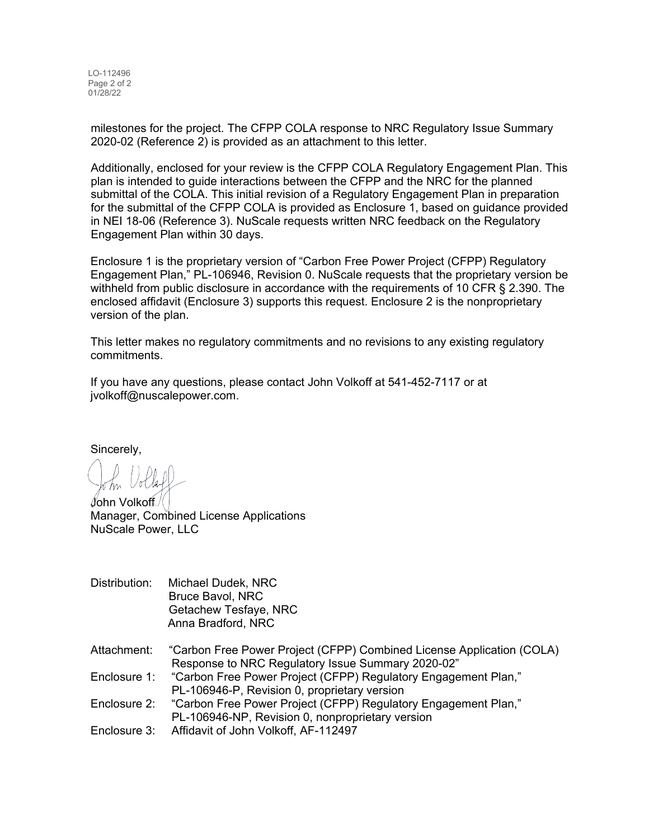LO-112496 Page 2 of 2 01/28/22

milestones for the project. The CFPP COLA response to NRC Regulatory Issue Summary 2020-02 (Reference 2) is provided as an attachment to this letter.

Additionally, enclosed for your review is the CFPP COLA Regulatory Engagement Plan. This plan is intended to guide interactions between the CFPP and the NRC for the planned submittal of the COLA. This initial revision of a Regulatory Engagement Plan in preparation for the submittal of the CFPP COLA is provided as Enclosure 1, based on guidance provided in NEI 18-06 (Reference 3). NuScale requests written NRC feedback on the Regulatory Engagement Plan within 30 days.

Enclosure 1 is the proprietary version of "Carbon Free Power Project (CFPP) Regulatory Engagement Plan," PL-106946, Revision 0. NuScale requests that the proprietary version be withheld from public disclosure in accordance with the requirements of 10 CFR § 2.390. The enclosed affidavit (Enclosure 3) supports this request. Enclosure 2 is the nonproprietary version of the plan.

This letter makes no regulatory commitments and no revisions to any existing regulatory commitments.

If you have any questions, please contact John Volkoff at 541-452-7117 or at jvolkoff@nuscalepower.com.

Sincerely,

John Volkoff Manager, Combined License Applications NuScale Power, LLC

- Distribution: Michael Dudek, NRC Bruce Bavol, NRC Getachew Tesfaye, NRC Anna Bradford, NRC
- Attachment: "Carbon Free Power Project (CFPP) Combined License Application (COLA) Response to NRC Regulatory Issue Summary 2020-02"
- Enclosure 1: "Carbon Free Power Project (CFPP) Regulatory Engagement Plan," PL-106946-P, Revision 0, proprietary version
- Enclosure 2: "Carbon Free Power Project (CFPP) Regulatory Engagement Plan," PL-106946-NP, Revision 0, nonproprietary version
- Enclosure 3: Affidavit of John Volkoff, AF-112497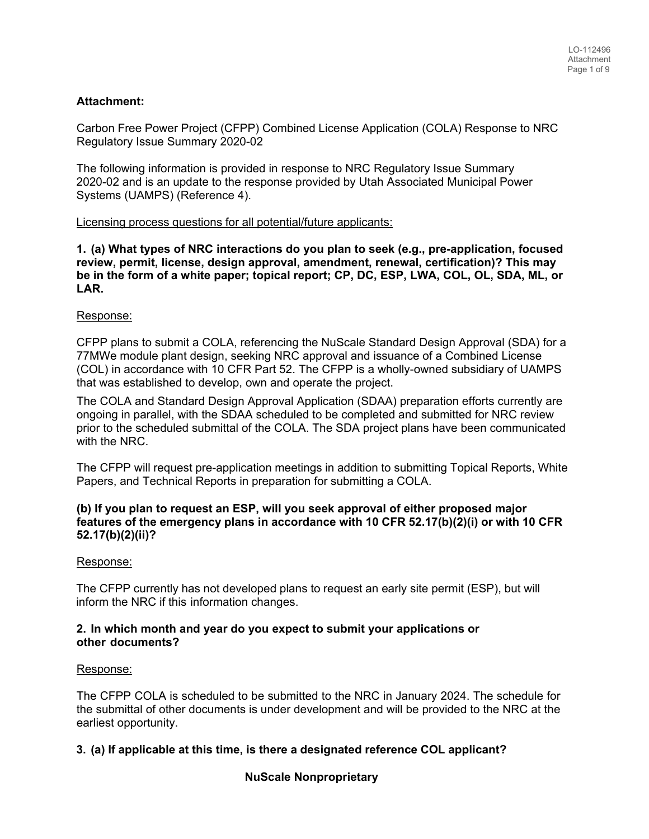# **Attachment:**

Carbon Free Power Project (CFPP) Combined License Application (COLA) Response to NRC Regulatory Issue Summary 2020-02

The following information is provided in response to NRC Regulatory Issue Summary 2020-02 and is an update to the response provided by Utah Associated Municipal Power Systems (UAMPS) (Reference 4).

#### Licensing process questions for all potential/future applicants:

**1. (a) What types of NRC interactions do you plan to seek (e.g., pre-application, focused review, permit, license, design approval, amendment, renewal, certification)? This may be in the form of a white paper; topical report; CP, DC, ESP, LWA, COL, OL, SDA, ML, or LAR.** 

#### Response:

CFPP plans to submit a COLA, referencing the NuScale Standard Design Approval (SDA) for a 77 MWe module plant design, seeking NRC approval and issuance of a Combined License (COL) in accordance with 10 CFR Part 52. The CFPP is a wholly-owned subsidiary of UAMPS that was established to develop, own and operate the project.

The COLA and Standard Design Approval Application (SDAA) preparation efforts currently are ongoing in parallel, with the SDAA scheduled to be completed and submitted for NRC review prior to the scheduled submittal of the COLA. The SDA project plans have been communicated with the NRC.

The CFPP will request pre-application meetings in addition to submitting Topical Reports, White Papers, and Technical Reports in preparation for submitting a COLA.

#### **(b) If you plan to request an ESP, will you seek approval of either proposed major features of the emergency plans in accordance with 10 CFR 52.17(b)(2)(i) or with 10 CFR 52.17(b)(2)(ii)?**

#### Response:

The CFPP currently has not developed plans to request an early site permit (ESP), but will inform the NRC if this information changes.

#### **2. In which month and year do you expect to submit your applications or other documents?**

## Response:

The CFPP COLA is scheduled to be submitted to the NRC in January 2024. The schedule for the submittal of other documents is under development and will be provided to the NRC at the earliest opportunity.

# **3. (a) If applicable at this time, is there a designated reference COL applicant?**

# **NuScale Nonproprietary**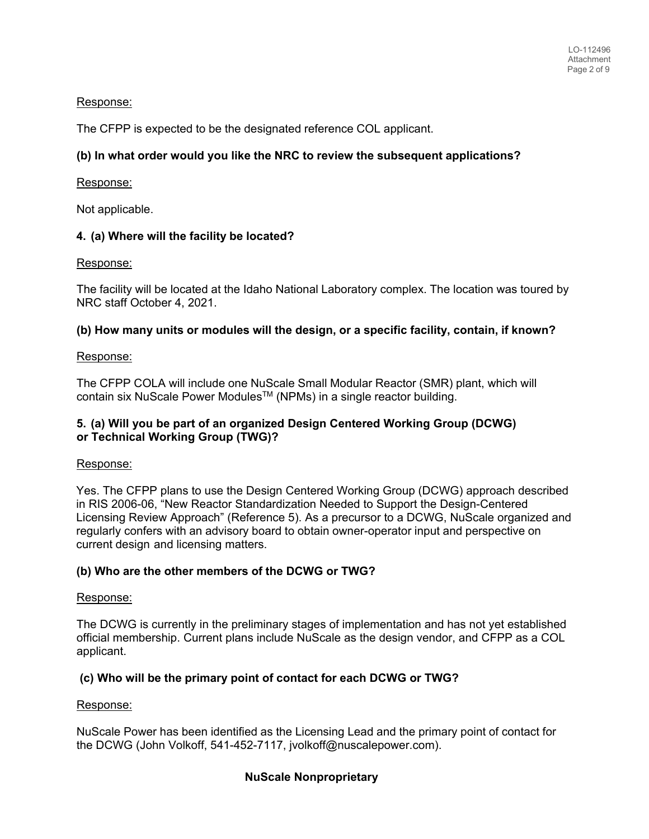# Response:

The CFPP is expected to be the designated reference COL applicant.

# **(b) In what order would you like the NRC to review the subsequent applications?**

# Response:

Not applicable.

# **4. (a) Where will the facility be located?**

#### Response:

The facility will be located at the Idaho National Laboratory complex. The location was toured by NRC staff October 4, 2021.

# **(b) How many units or modules will the design, or a specific facility, contain, if known?**

# Response:

The CFPP COLA will include one NuScale Small Modular Reactor (SMR) plant, which will contain six NuScale Power Modules<sup>™</sup> (NPMs) in a single reactor building.

# **5. (a) Will you be part of an organized Design Centered Working Group (DCWG) or Technical Working Group (TWG)?**

# Response:

Yes. The CFPP plans to use the Design Centered Working Group (DCWG) approach described in RIS 2006-06, "New Reactor Standardization Needed to Support the Design-Centered Licensing Review Approach" (Reference 5). As a precursor to a DCWG, NuScale organized and regularly confers with an advisory board to obtain owner-operator input and perspective on current design and licensing matters.

# **(b) Who are the other members of the DCWG or TWG?**

#### Response:

The DCWG is currently in the preliminary stages of implementation and has not yet established official membership. Current plans include NuScale as the design vendor, and CFPP as a COL applicant.

# **(c) Who will be the primary point of contact for each DCWG or TWG?**

# Response:

NuScale Power has been identified as the Licensing Lead and the primary point of contact for the DCWG (John Volkoff, 541-452-7117, jvolkoff@nuscalepower.com).

# **NuScale Nonproprietary**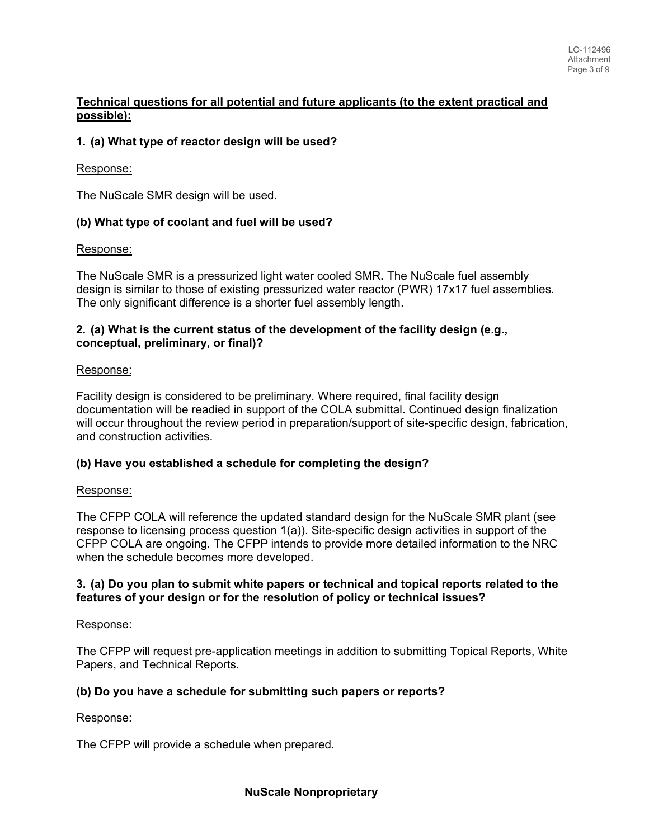# **Technical questions for all potential and future applicants (to the extent practical and possible):**

# **1. (a) What type of reactor design will be used?**

#### Response:

The NuScale SMR design will be used.

# **(b) What type of coolant and fuel will be used?**

# Response:

The NuScale SMR is a pressurized light water cooled SMR**.** The NuScale fuel assembly design is similar to those of existing pressurized water reactor (PWR) 17x17 fuel assemblies. The only significant difference is a shorter fuel assembly length.

# **2. (a) What is the current status of the development of the facility design (e.g., conceptual, preliminary, or final)?**

#### Response:

Facility design is considered to be preliminary. Where required, final facility design documentation will be readied in support of the COLA submittal. Continued design finalization will occur throughout the review period in preparation/support of site-specific design, fabrication, and construction activities.

# **(b) Have you established a schedule for completing the design?**

# Response:

The CFPP COLA will reference the updated standard design for the NuScale SMR plant (see response to licensing process question 1(a)). Site-specific design activities in support of the CFPP COLA are ongoing. The CFPP intends to provide more detailed information to the NRC when the schedule becomes more developed.

#### **3. (a) Do you plan to submit white papers or technical and topical reports related to the features of your design or for the resolution of policy or technical issues?**

# Response:

The CFPP will request pre-application meetings in addition to submitting Topical Reports, White Papers, and Technical Reports.

# **(b) Do you have a schedule for submitting such papers or reports?**

#### Response:

The CFPP will provide a schedule when prepared.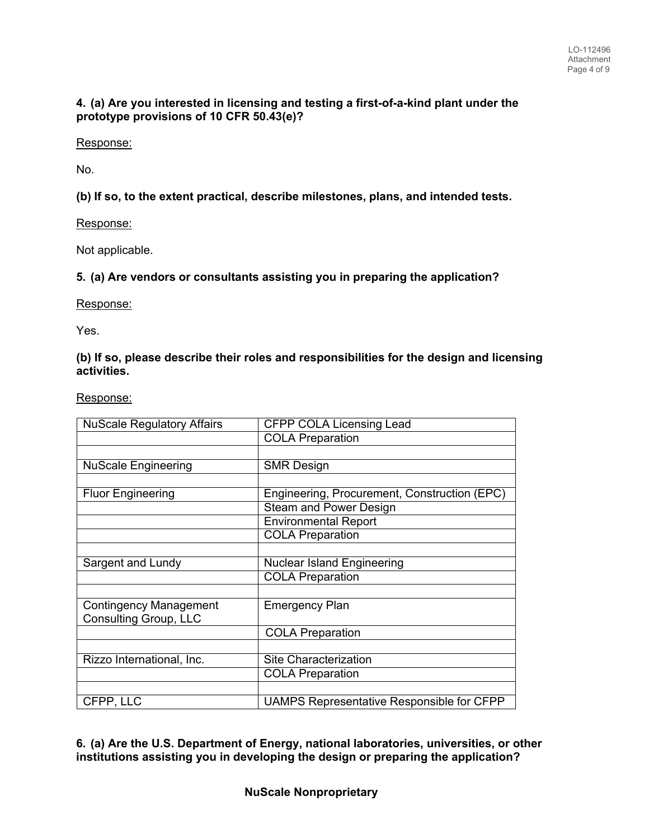# **4. (a) Are you interested in licensing and testing a first-of-a-kind plant under the prototype provisions of 10 CFR 50.43(e)?**

## Response:

No.

**(b) If so, to the extent practical, describe milestones, plans, and intended tests.**

# Response:

Not applicable.

# **5. (a) Are vendors or consultants assisting you in preparing the application?**

Response:

Yes.

## **(b) If so, please describe their roles and responsibilities for the design and licensing activities.**

Response:

| <b>NuScale Regulatory Affairs</b> | <b>CFPP COLA Licensing Lead</b>                  |
|-----------------------------------|--------------------------------------------------|
|                                   | <b>COLA Preparation</b>                          |
|                                   |                                                  |
| <b>NuScale Engineering</b>        | <b>SMR Design</b>                                |
|                                   |                                                  |
| <b>Fluor Engineering</b>          | Engineering, Procurement, Construction (EPC)     |
|                                   | <b>Steam and Power Design</b>                    |
|                                   | <b>Environmental Report</b>                      |
|                                   | <b>COLA Preparation</b>                          |
|                                   |                                                  |
| Sargent and Lundy                 | <b>Nuclear Island Engineering</b>                |
|                                   | <b>COLA Preparation</b>                          |
|                                   |                                                  |
| <b>Contingency Management</b>     | <b>Emergency Plan</b>                            |
| <b>Consulting Group, LLC</b>      |                                                  |
|                                   | <b>COLA Preparation</b>                          |
|                                   |                                                  |
| Rizzo International, Inc.         | Site Characterization                            |
|                                   | <b>COLA Preparation</b>                          |
|                                   |                                                  |
| CFPP, LLC                         | <b>UAMPS Representative Responsible for CFPP</b> |

**6. (a) Are the U.S. Department of Energy, national laboratories, universities, or other institutions assisting you in developing the design or preparing the application?**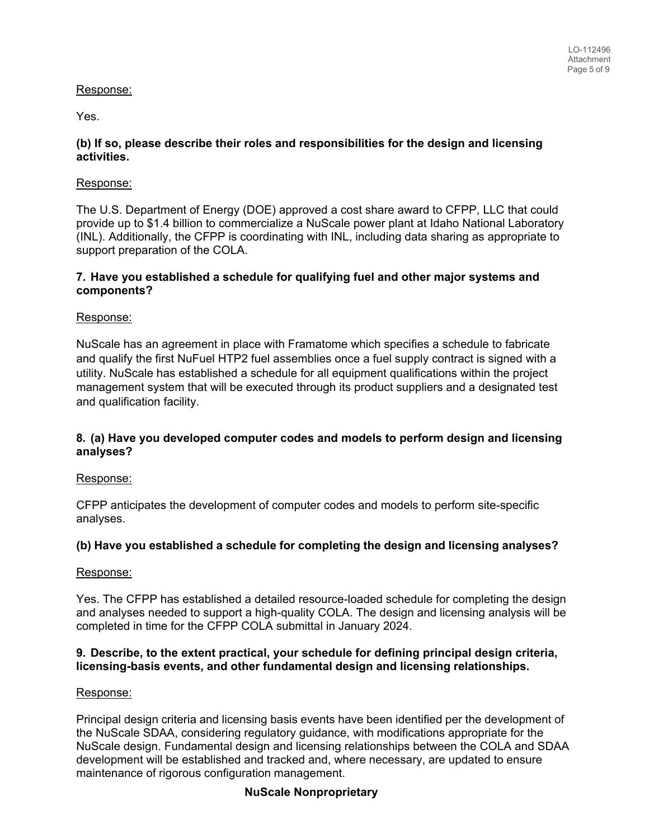# Response:

Yes.

# **(b) If so, please describe their roles and responsibilities for the design and licensing activities.**

# Response:

The U.S. Department of Energy (DOE) approved a cost share award to CFPP, LLC that could provide up to \$1.4 billion to commercialize a NuScale power plant at Idaho National Laboratory (INL). Additionally, the CFPP is coordinating with INL, including data sharing as appropriate to support preparation of the COLA.

# **7. Have you established a schedule for qualifying fuel and other major systems and components?**

# Response:

NuScale has an agreement in place with Framatome which specifies a schedule to fabricate and qualify the first NuFuel HTP2 fuel assemblies once a fuel supply contract is signed with a utility. NuScale has established a schedule for all equipment qualifications within the project management system that will be executed through its product suppliers and a designated test and qualification facility.

# **8. (a) Have you developed computer codes and models to perform design and licensing analyses?**

# Response:

CFPP anticipates the development of computer codes and models to perform site-specific analyses.

# **(b) Have you established a schedule for completing the design and licensing analyses?**

# Response:

Yes. The CFPP has established a detailed resource-loaded schedule for completing the design and analyses needed to support a high-quality COLA. The design and licensing analysis will be completed in time for the CFPP COLA submittal in January 2024.

#### **9. Describe, to the extent practical, your schedule for defining principal design criteria, licensing-basis events, and other fundamental design and licensing relationships.**

# Response:

Principal design criteria and licensing basis events have been identified per the development of the NuScale SDAA, considering regulatory guidance, with modifications appropriate for the NuScale design. Fundamental design and licensing relationships between the COLA and SDAA development will be established and tracked and, where necessary, are updated to ensure maintenance of rigorous configuration management.

# **NuScale Nonproprietary**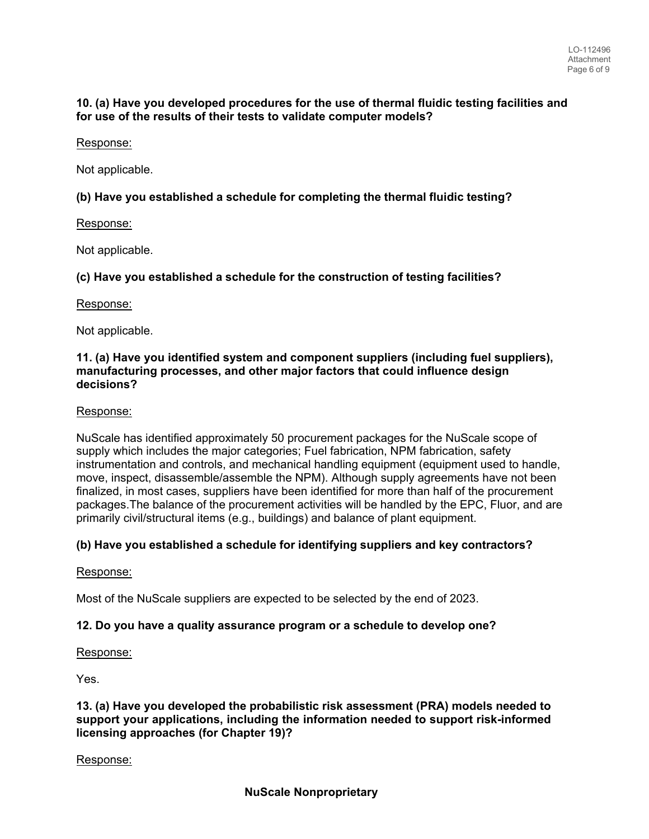## **10. (a) Have you developed procedures for the use of thermal fluidic testing facilities and for use of the results of their tests to validate computer models?**

# Response:

Not applicable.

# **(b) Have you established a schedule for completing the thermal fluidic testing?**

# Response:

Not applicable.

# **(c) Have you established a schedule for the construction of testing facilities?**

# Response:

Not applicable.

# **11. (a) Have you identified system and component suppliers (including fuel suppliers), manufacturing processes, and other major factors that could influence design decisions?**

# Response:

NuScale has identified approximately 50 procurement packages for the NuScale scope of supply which includes the major categories; Fuel fabrication, NPM fabrication, safety instrumentation and controls, and mechanical handling equipment (equipment used to handle, move, inspect, disassemble/assemble the NPM). Although supply agreements have not been finalized, in most cases, suppliers have been identified for more than half of the procurement packages.The balance of the procurement activities will be handled by the EPC, Fluor, and are primarily civil/structural items (e.g., buildings) and balance of plant equipment.

# **(b) Have you established a schedule for identifying suppliers and key contractors?**

# Response:

Most of the NuScale suppliers are expected to be selected by the end of 2023.

# **12. Do you have a quality assurance program or a schedule to develop one?**

# Response:

Yes.

#### **13. (a) Have you developed the probabilistic risk assessment (PRA) models needed to support your applications, including the information needed to support risk-informed licensing approaches (for Chapter 19)?**

# Response: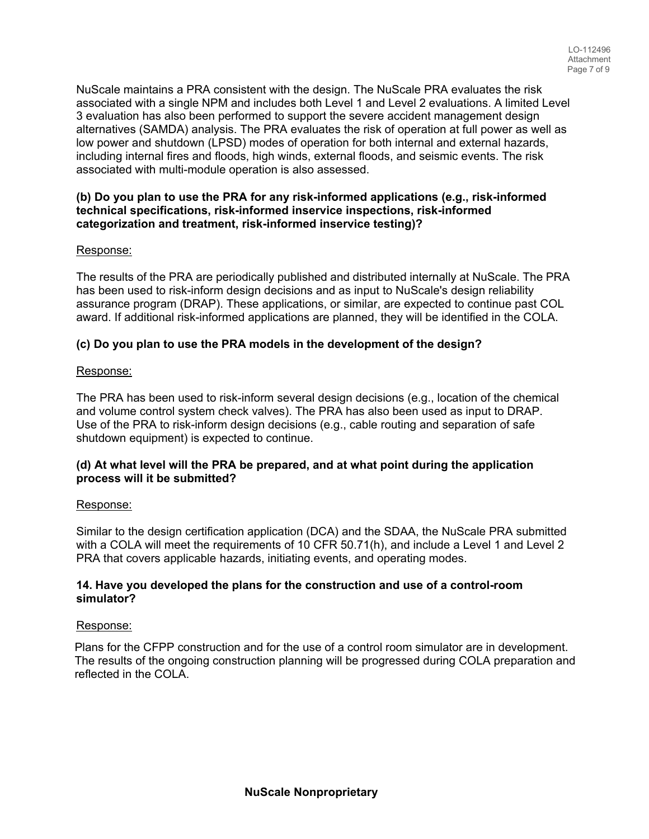NuScale maintains a PRA consistent with the design. The NuScale PRA evaluates the risk associated with a single NPM and includes both Level 1 and Level 2 evaluations. A limited Level 3 evaluation has also been performed to support the severe accident management design alternatives (SAMDA) analysis. The PRA evaluates the risk of operation at full power as well as low power and shutdown (LPSD) modes of operation for both internal and external hazards, including internal fires and floods, high winds, external floods, and seismic events. The risk associated with multi-module operation is also assessed.

# **(b) Do you plan to use the PRA for any risk-informed applications (e.g., risk-informed technical specifications, risk-informed inservice inspections, risk-informed categorization and treatment, risk-informed inservice testing)?**

# Response:

The results of the PRA are periodically published and distributed internally at NuScale. The PRA has been used to risk-inform design decisions and as input to NuScale's design reliability assurance program (DRAP). These applications, or similar, are expected to continue past COL award. If additional risk-informed applications are planned, they will be identified in the COLA.

# **(c) Do you plan to use the PRA models in the development of the design?**

#### Response:

The PRA has been used to risk-inform several design decisions (e.g., location of the chemical and volume control system check valves). The PRA has also been used as input to DRAP. Use of the PRA to risk-inform design decisions (e.g., cable routing and separation of safe shutdown equipment) is expected to continue.

# **(d) At what level will the PRA be prepared, and at what point during the application process will it be submitted?**

#### Response:

Similar to the design certification application (DCA) and the SDAA, the NuScale PRA submitted with a COLA will meet the requirements of 10 CFR 50.71(h), and include a Level 1 and Level 2 PRA that covers applicable hazards, initiating events, and operating modes.

#### **14. Have you developed the plans for the construction and use of a control-room simulator?**

#### Response:

Plans for the CFPP construction and for the use of a control room simulator are in development. The results of the ongoing construction planning will be progressed during COLA preparation and reflected in the COLA.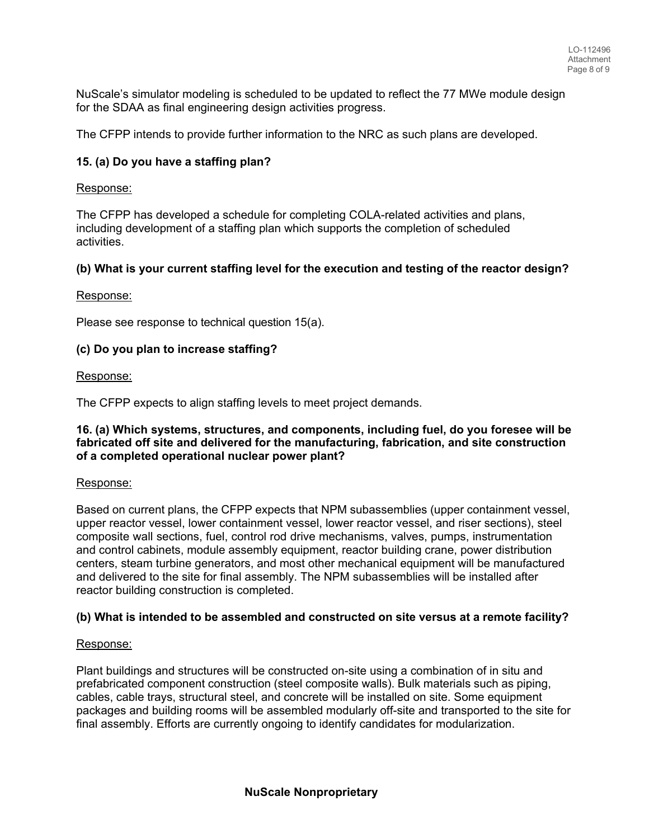NuScale's simulator modeling is scheduled to be updated to reflect the 77 MWe module design for the SDAA as final engineering design activities progress.

The CFPP intends to provide further information to the NRC as such plans are developed.

## **15. (a) Do you have a staffing plan?**

#### Response:

The CFPP has developed a schedule for completing COLA-related activities and plans, including development of a staffing plan which supports the completion of scheduled activities.

#### **(b) What is your current staffing level for the execution and testing of the reactor design?**

#### Response:

Please see response to technical question 15(a).

#### **(c) Do you plan to increase staffing?**

#### Response:

The CFPP expects to align staffing levels to meet project demands.

#### **16. (a) Which systems, structures, and components, including fuel, do you foresee will be fabricated off site and delivered for the manufacturing, fabrication, and site construction of a completed operational nuclear power plant?**

#### Response:

Based on current plans, the CFPP expects that NPM subassemblies (upper containment vessel, upper reactor vessel, lower containment vessel, lower reactor vessel, and riser sections), steel composite wall sections, fuel, control rod drive mechanisms, valves, pumps, instrumentation and control cabinets, module assembly equipment, reactor building crane, power distribution centers, steam turbine generators, and most other mechanical equipment will be manufactured and delivered to the site for final assembly. The NPM subassemblies will be installed after reactor building construction is completed.

#### **(b) What is intended to be assembled and constructed on site versus at a remote facility?**

#### Response:

Plant buildings and structures will be constructed on-site using a combination of in situ and prefabricated component construction (steel composite walls). Bulk materials such as piping, cables, cable trays, structural steel, and concrete will be installed on site. Some equipment packages and building rooms will be assembled modularly off-site and transported to the site for final assembly. Efforts are currently ongoing to identify candidates for modularization.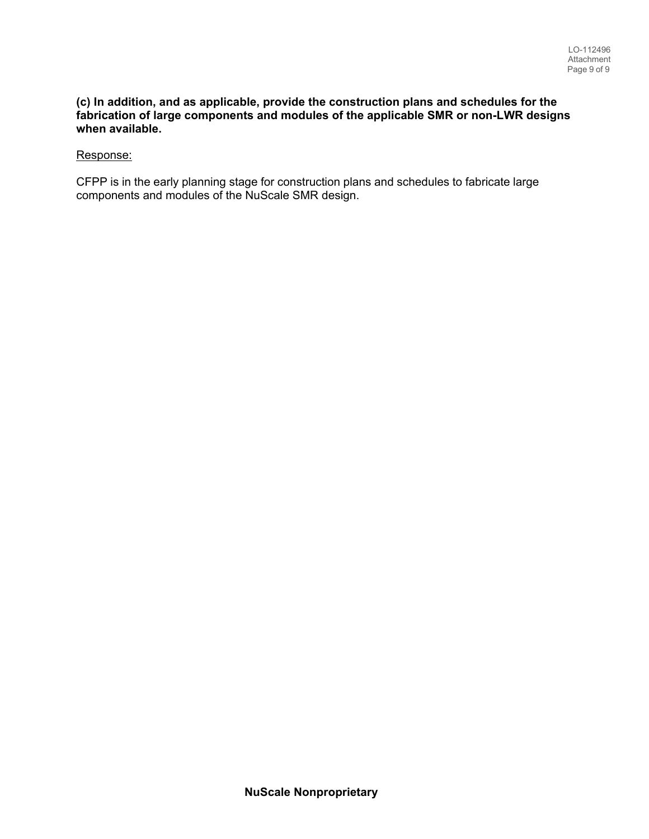#### **(c) In addition, and as applicable, provide the construction plans and schedules for the fabrication of large components and modules of the applicable SMR or non-LWR designs when available.**

## Response:

CFPP is in the early planning stage for construction plans and schedules to fabricate large components and modules of the NuScale SMR design.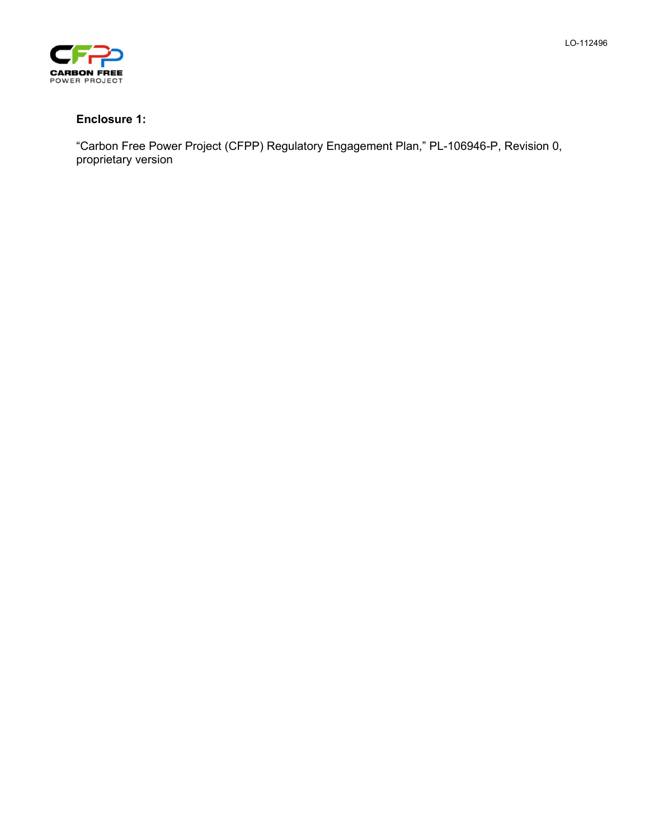



# **Enclosure 1:**

"Carbon Free Power Project (CFPP) Regulatory Engagement Plan," PL-106946-P, Revision 0, proprietary version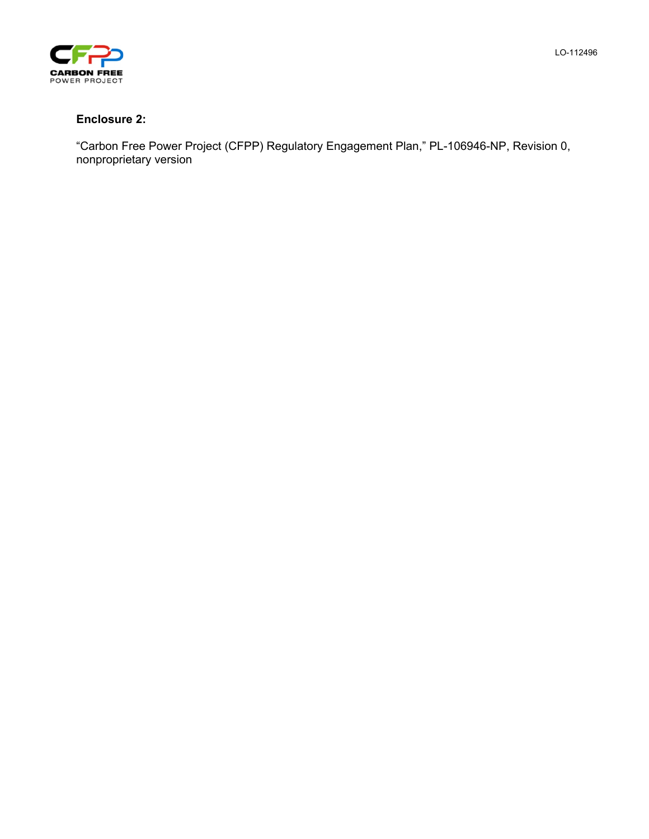



# **Enclosure 2:**

"Carbon Free Power Project (CFPP) Regulatory Engagement Plan," PL-106946-NP, Revision 0, nonproprietary version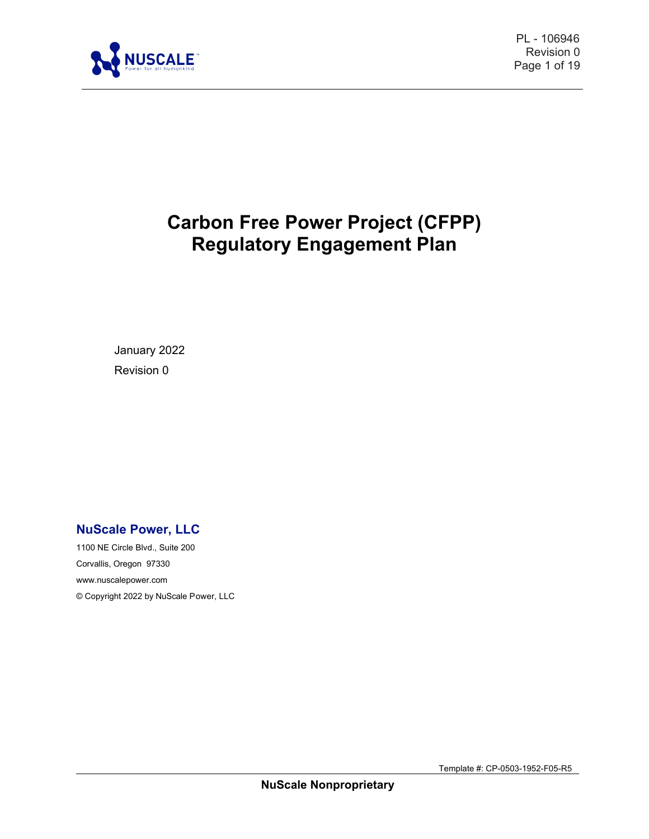

PL - 106946 Revision 0 Page 1 of 19

# **Carbon Free Power Project (CFPP) Regulatory Engagement Plan**

January 2022 Revision 0

# **NuScale Power, LLC**

1100 NE Circle Blvd., Suite 200 Corvallis, Oregon 97330 [www.nuscalepower.com](http://www.nuscalepower.com/)  © Copyright 2022 by NuScale Power, LLC

Template #: CP-0503-1952-F05-R5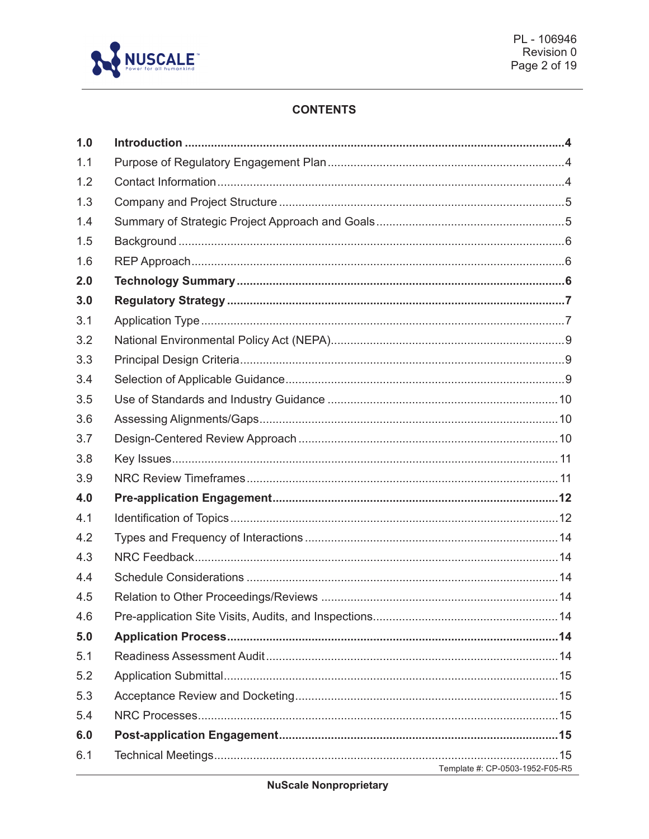

# **CONTENTS**

| 1.0 |                                                                                        |  |
|-----|----------------------------------------------------------------------------------------|--|
| 1.1 |                                                                                        |  |
| 1.2 |                                                                                        |  |
| 1.3 |                                                                                        |  |
| 1.4 |                                                                                        |  |
| 1.5 |                                                                                        |  |
| 1.6 |                                                                                        |  |
| 2.0 |                                                                                        |  |
| 3.0 |                                                                                        |  |
| 3.1 |                                                                                        |  |
| 3.2 |                                                                                        |  |
| 3.3 |                                                                                        |  |
| 3.4 |                                                                                        |  |
| 3.5 |                                                                                        |  |
| 3.6 |                                                                                        |  |
| 3.7 |                                                                                        |  |
| 3.8 |                                                                                        |  |
| 3.9 |                                                                                        |  |
| 4.0 |                                                                                        |  |
| 4.1 |                                                                                        |  |
| 4.2 |                                                                                        |  |
| 4.3 |                                                                                        |  |
| 4.4 |                                                                                        |  |
| 4.5 |                                                                                        |  |
| 4.6 |                                                                                        |  |
| 5.0 |                                                                                        |  |
| 5.1 |                                                                                        |  |
| 5.2 |                                                                                        |  |
| 5.3 |                                                                                        |  |
| 5.4 |                                                                                        |  |
| 6.0 |                                                                                        |  |
| 6.1 | Template #: CP-0503-1952-F05-R5<br><u> 1989 - Johann Barbara, martxa alemaniar arg</u> |  |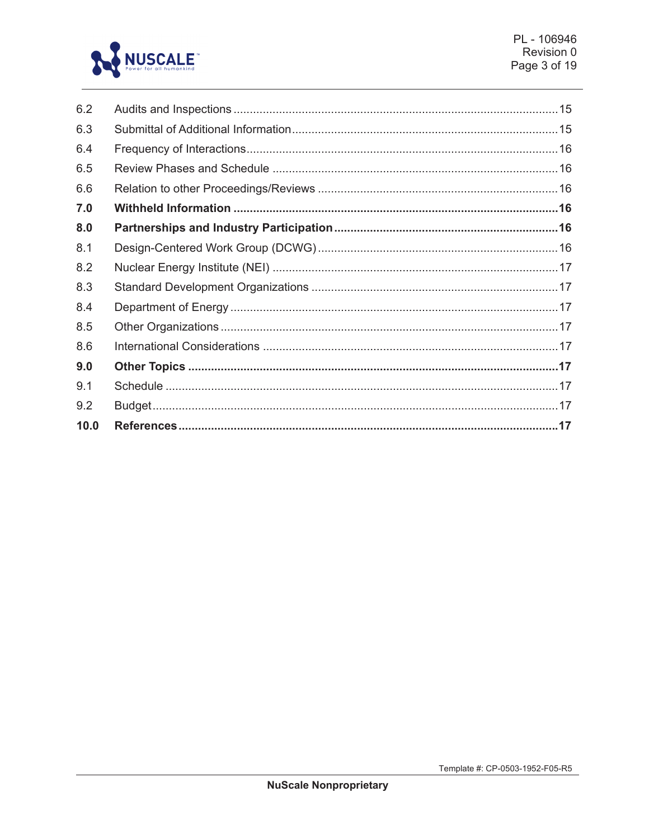

| 6.2  |  |
|------|--|
| 6.3  |  |
| 6.4  |  |
| 6.5  |  |
| 6.6  |  |
| 7.0  |  |
| 8.0  |  |
| 8.1  |  |
| 8.2  |  |
| 8.3  |  |
| 8.4  |  |
| 8.5  |  |
| 8.6  |  |
| 9.0  |  |
| 9.1  |  |
| 9.2  |  |
| 10.0 |  |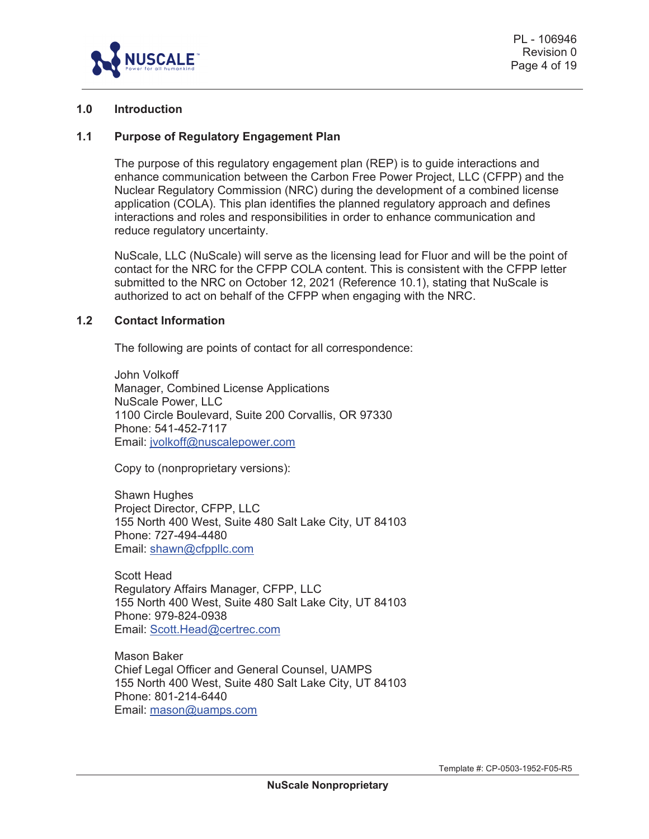

#### **1.0 Introduction**

#### **1.1 Purpose of Regulatory Engagement Plan**

The purpose of this regulatory engagement plan (REP) is to guide interactions and enhance communication between the Carbon Free Power Project, LLC (CFPP) and the Nuclear Regulatory Commission (NRC) during the development of a combined license application (COLA). This plan identifies the planned regulatory approach and defines interactions and roles and responsibilities in order to enhance communication and reduce regulatory uncertainty.

NuScale, LLC (NuScale) will serve as the licensing lead for Fluor and will be the point of contact for the NRC for the CFPP COLA content. This is consistent with the CFPP letter submitted to the NRC on October 12, 2021 (Reference 10.1), stating that NuScale is authorized to act on behalf of the CFPP when engaging with the NRC.

#### **1.2 Contact Information**

The following are points of contact for all correspondence:

John Volkoff Manager, Combined License Applications NuScale Power, LLC 1100 Circle Boulevard, Suite 200 Corvallis, OR 97330 Phone: 541-452-7117 Email: jvolkoff@nuscalepower.com

Copy to (nonproprietary versions):

Shawn Hughes Project Director, CFPP, LLC 155 North 400 West, Suite 480 Salt Lake City, UT 84103 Phone: 727-494-4480 Email: shawn@cfppllc.com

Scott Head Regulatory Affairs Manager, CFPP, LLC 155 North 400 West, Suite 480 Salt Lake City, UT 84103 Phone: 979-824-0938 Email: Scott.Head@certrec.com

Mason Baker Chief Legal Officer and General Counsel, UAMPS 155 North 400 West, Suite 480 Salt Lake City, UT 84103 Phone: 801-214-6440 Email: mason@uamps.com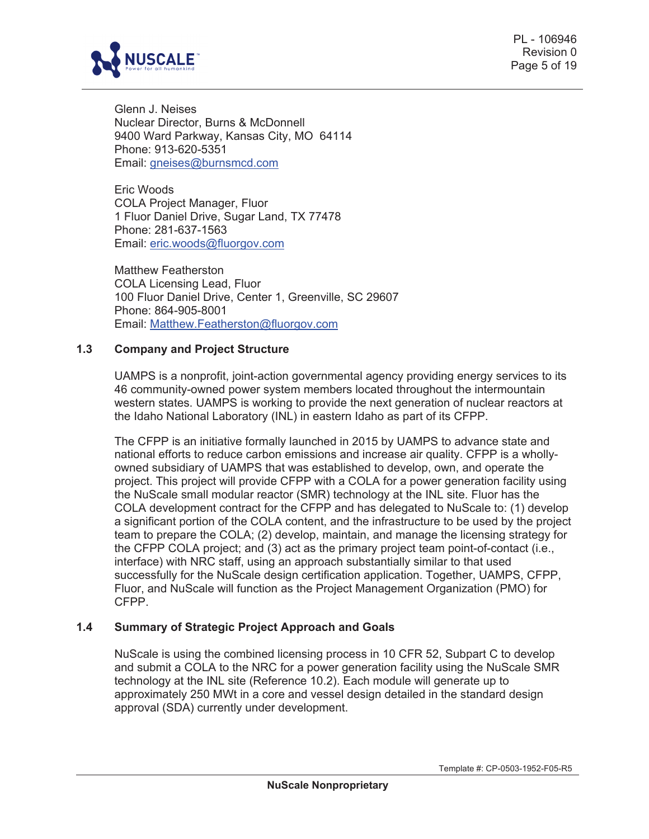

PL - 106946 Revision 0 Page 5 of 19

Glenn J. Neises Nuclear Director, Burns & McDonnell 9400 Ward Parkway, Kansas City, MO 64114 Phone: 913-620-5351 Email: gneises@burnsmcd.com

Eric Woods COLA Project Manager, Fluor 1 Fluor Daniel Drive, Sugar Land, TX 77478 Phone: 281-637-1563 Email: eric.woods@fluorgov.com

Matthew Featherston COLA Licensing Lead, Fluor 100 Fluor Daniel Drive, Center 1, Greenville, SC 29607 Phone: 864-905-8001 Email: Matthew.Featherston@fluorgov.com

#### **1.3 Company and Project Structure**

UAMPS is a nonprofit, joint-action governmental agency providing energy services to its 46 community-owned power system members located throughout the intermountain western states. UAMPS is working to provide the next generation of nuclear reactors at the Idaho National Laboratory (INL) in eastern Idaho as part of its CFPP.

The CFPP is an initiative formally launched in 2015 by UAMPS to advance state and national efforts to reduce carbon emissions and increase air quality. CFPP is a whollyowned subsidiary of UAMPS that was established to develop, own, and operate the project. This project will provide CFPP with a COLA for a power generation facility using the NuScale small modular reactor (SMR) technology at the INL site. Fluor has the COLA development contract for the CFPP and has delegated to NuScale to: (1) develop a significant portion of the COLA content, and the infrastructure to be used by the project team to prepare the COLA; (2) develop, maintain, and manage the licensing strategy for the CFPP COLA project; and (3) act as the primary project team point-of-contact (i.e., interface) with NRC staff, using an approach substantially similar to that used successfully for the NuScale design certification application. Together, UAMPS, CFPP, Fluor, and NuScale will function as the Project Management Organization (PMO) for CFPP.

# **1.4 Summary of Strategic Project Approach and Goals**

NuScale is using the combined licensing process in 10 CFR 52, Subpart C to develop and submit a COLA to the NRC for a power generation facility using the NuScale SMR technology at the INL site (Reference 10.2). Each module will generate up to approximately 250 MWt in a core and vessel design detailed in the standard design approval (SDA) currently under development.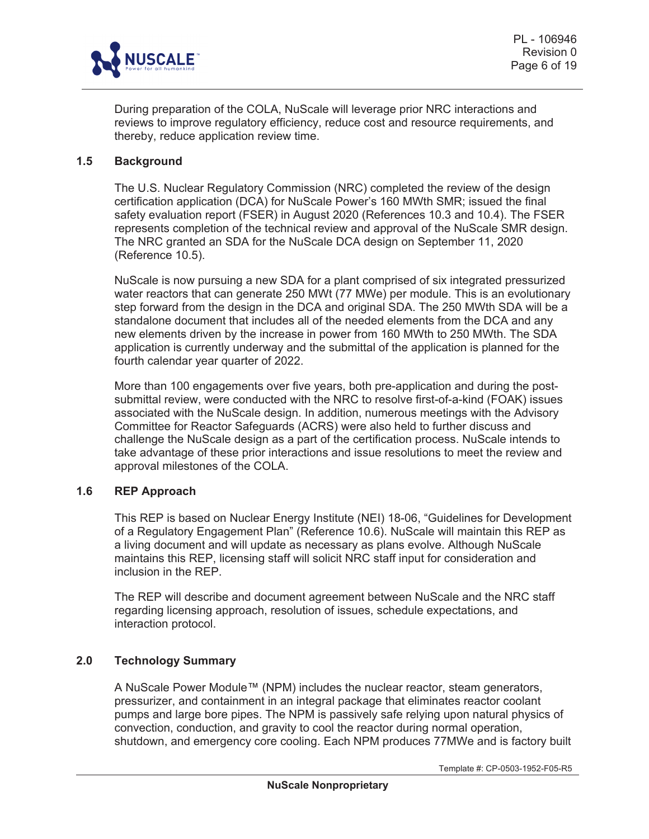

During preparation of the COLA, NuScale will leverage prior NRC interactions and reviews to improve regulatory efficiency, reduce cost and resource requirements, and thereby, reduce application review time.

#### **1.5 Background**

The U.S. Nuclear Regulatory Commission (NRC) completed the review of the design certification application (DCA) for NuScale Power's 160 MWth SMR; issued the final safety evaluation report (FSER) in August 2020 (References 10.3 and 10.4). The FSER represents completion of the technical review and approval of the NuScale SMR design. The NRC granted an SDA for the NuScale DCA design on September 11, 2020 (Reference 10.5).

NuScale is now pursuing a new SDA for a plant comprised of six integrated pressurized water reactors that can generate 250 MWt (77 MWe) per module. This is an evolutionary step forward from the design in the DCA and original SDA. The 250 MWth SDA will be a standalone document that includes all of the needed elements from the DCA and any new elements driven by the increase in power from 160 MWth to 250 MWth. The SDA application is currently underway and the submittal of the application is planned for the fourth calendar year quarter of 2022.

More than 100 engagements over five years, both pre-application and during the postsubmittal review, were conducted with the NRC to resolve first-of-a-kind (FOAK) issues associated with the NuScale design. In addition, numerous meetings with the Advisory Committee for Reactor Safeguards (ACRS) were also held to further discuss and challenge the NuScale design as a part of the certification process. NuScale intends to take advantage of these prior interactions and issue resolutions to meet the review and approval milestones of the COLA.

# **1.6 REP Approach**

This REP is based on Nuclear Energy Institute (NEI) 18-06, "Guidelines for Development of a Regulatory Engagement Plan" (Reference 10.6). NuScale will maintain this REP as a living document and will update as necessary as plans evolve. Although NuScale maintains this REP, licensing staff will solicit NRC staff input for consideration and inclusion in the REP.

The REP will describe and document agreement between NuScale and the NRC staff regarding licensing approach, resolution of issues, schedule expectations, and interaction protocol.

# **2.0 Technology Summary**

A NuScale Power Module™ (NPM) includes the nuclear reactor, steam generators, pressurizer, and containment in an integral package that eliminates reactor coolant pumps and large bore pipes. The NPM is passively safe relying upon natural physics of convection, conduction, and gravity to cool the reactor during normal operation, shutdown, and emergency core cooling. Each NPM produces 77MWe and is factory built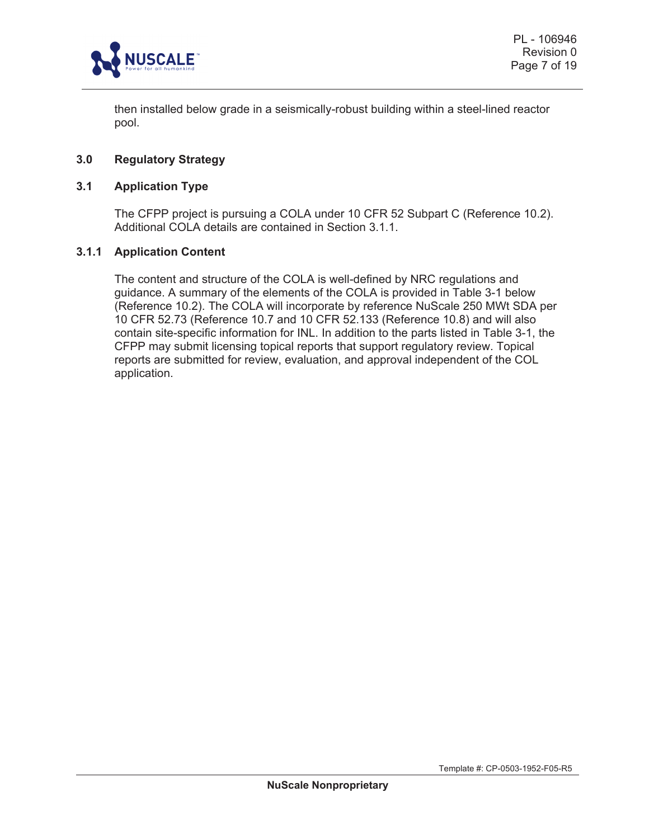

then installed below grade in a seismically-robust building within a steel-lined reactor pool.

## **3.0 Regulatory Strategy**

#### **3.1 Application Type**

The CFPP project is pursuing a COLA under 10 CFR 52 Subpart C (Reference 10.2). Additional COLA details are contained in Section 3.1.1.

#### **3.1.1 Application Content**

The content and structure of the COLA is well-defined by NRC regulations and guidance. A summary of the elements of the COLA is provided in Table 3-1 below (Reference 10.2). The COLA will incorporate by reference NuScale 250 MWt SDA per 10 CFR 52.73 (Reference 10.7 and 10 CFR 52.133 (Reference 10.8) and will also contain site-specific information for INL. In addition to the parts listed in Table 3-1, the CFPP may submit licensing topical reports that support regulatory review. Topical reports are submitted for review, evaluation, and approval independent of the COL application.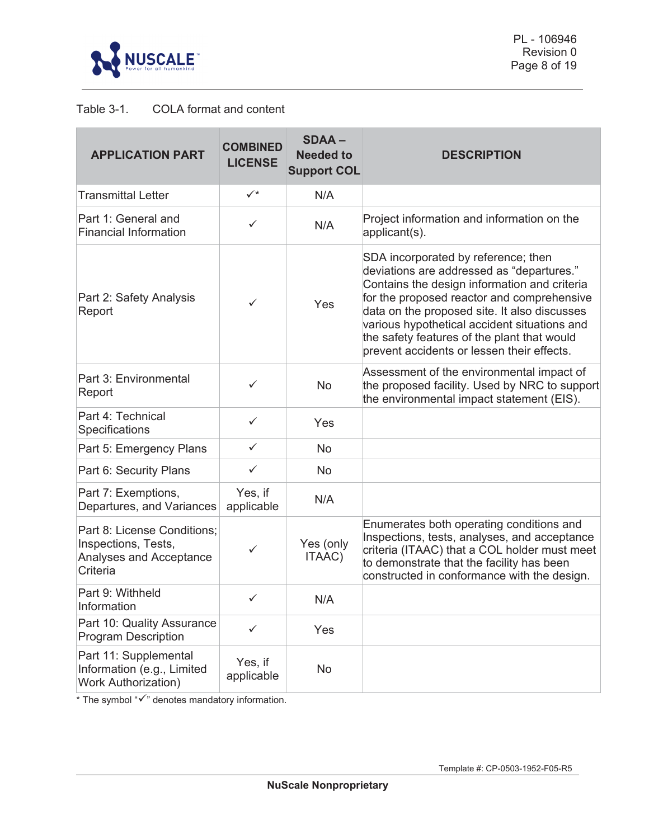

# Table 3-1. COLA format and content

| <b>APPLICATION PART</b>                                                                   | <b>COMBINED</b><br><b>LICENSE</b> | <b>SDAA-</b><br><b>Needed to</b><br><b>Support COL</b> | <b>DESCRIPTION</b>                                                                                                                                                                                                                                                                                                                                                          |
|-------------------------------------------------------------------------------------------|-----------------------------------|--------------------------------------------------------|-----------------------------------------------------------------------------------------------------------------------------------------------------------------------------------------------------------------------------------------------------------------------------------------------------------------------------------------------------------------------------|
| <b>Transmittal Letter</b>                                                                 | $\checkmark^*$                    | N/A                                                    |                                                                                                                                                                                                                                                                                                                                                                             |
| Part 1: General and<br><b>Financial Information</b>                                       | ✓                                 | N/A                                                    | Project information and information on the<br>applicant(s).                                                                                                                                                                                                                                                                                                                 |
| Part 2: Safety Analysis<br>Report                                                         | ✓                                 | Yes                                                    | SDA incorporated by reference; then<br>deviations are addressed as "departures."<br>Contains the design information and criteria<br>for the proposed reactor and comprehensive<br>data on the proposed site. It also discusses<br>various hypothetical accident situations and<br>the safety features of the plant that would<br>prevent accidents or lessen their effects. |
| Part 3: Environmental<br>Report                                                           | ✓                                 | <b>No</b>                                              | Assessment of the environmental impact of<br>the proposed facility. Used by NRC to support<br>the environmental impact statement (EIS).                                                                                                                                                                                                                                     |
| Part 4: Technical<br>Specifications                                                       | $\checkmark$                      | Yes                                                    |                                                                                                                                                                                                                                                                                                                                                                             |
| Part 5: Emergency Plans                                                                   | $\checkmark$                      | No                                                     |                                                                                                                                                                                                                                                                                                                                                                             |
| Part 6: Security Plans                                                                    | ✓                                 | No                                                     |                                                                                                                                                                                                                                                                                                                                                                             |
| Part 7: Exemptions,<br>Departures, and Variances                                          | Yes, if<br>applicable             | N/A                                                    |                                                                                                                                                                                                                                                                                                                                                                             |
| Part 8: License Conditions;<br>Inspections, Tests,<br>Analyses and Acceptance<br>Criteria | ✓                                 | Yes (only<br>ITAAC)                                    | Enumerates both operating conditions and<br>Inspections, tests, analyses, and acceptance<br>criteria (ITAAC) that a COL holder must meet<br>to demonstrate that the facility has been<br>constructed in conformance with the design.                                                                                                                                        |
| Part 9: Withheld<br>Information                                                           | ✓                                 | N/A                                                    |                                                                                                                                                                                                                                                                                                                                                                             |
| Part 10: Quality Assurance<br><b>Program Description</b>                                  | ✓                                 | Yes                                                    |                                                                                                                                                                                                                                                                                                                                                                             |
| Part 11: Supplemental<br>Information (e.g., Limited<br><b>Work Authorization)</b>         | Yes, if<br>applicable             | No                                                     |                                                                                                                                                                                                                                                                                                                                                                             |

\* The symbol " $\checkmark$ " denotes mandatory information.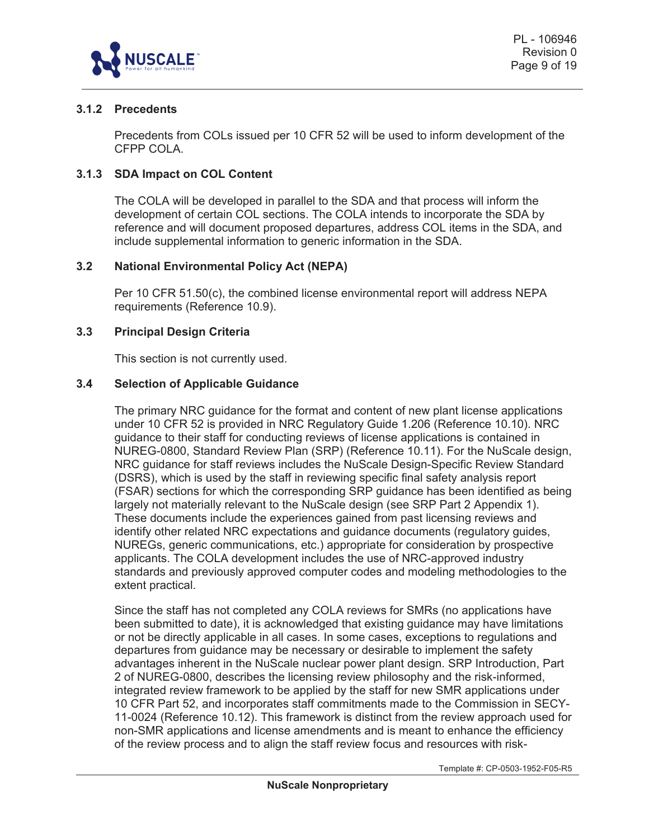

# **3.1.2 Precedents**

Precedents from COLs issued per 10 CFR 52 will be used to inform development of the CFPP COLA.

## **3.1.3 SDA Impact on COL Content**

The COLA will be developed in parallel to the SDA and that process will inform the development of certain COL sections. The COLA intends to incorporate the SDA by reference and will document proposed departures, address COL items in the SDA, and include supplemental information to generic information in the SDA.

#### **3.2 National Environmental Policy Act (NEPA)**

Per 10 CFR 51.50(c), the combined license environmental report will address NEPA requirements (Reference 10.9).

# **3.3 Principal Design Criteria**

This section is not currently used.

#### **3.4 Selection of Applicable Guidance**

The primary NRC guidance for the format and content of new plant license applications under 10 CFR 52 is provided in NRC Regulatory Guide 1.206 (Reference 10.10). NRC guidance to their staff for conducting reviews of license applications is contained in NUREG-0800, Standard Review Plan (SRP) (Reference 10.11). For the NuScale design, NRC guidance for staff reviews includes the NuScale Design-Specific Review Standard (DSRS), which is used by the staff in reviewing specific final safety analysis report (FSAR) sections for which the corresponding SRP guidance has been identified as being largely not materially relevant to the NuScale design (see SRP Part 2 Appendix 1). These documents include the experiences gained from past licensing reviews and identify other related NRC expectations and guidance documents (regulatory guides, NUREGs, generic communications, etc.) appropriate for consideration by prospective applicants. The COLA development includes the use of NRC-approved industry standards and previously approved computer codes and modeling methodologies to the extent practical.

Since the staff has not completed any COLA reviews for SMRs (no applications have been submitted to date), it is acknowledged that existing guidance may have limitations or not be directly applicable in all cases. In some cases, exceptions to regulations and departures from guidance may be necessary or desirable to implement the safety advantages inherent in the NuScale nuclear power plant design. SRP Introduction, Part 2 of NUREG-0800, describes the licensing review philosophy and the risk-informed, integrated review framework to be applied by the staff for new SMR applications under 10 CFR Part 52, and incorporates staff commitments made to the Commission in SECY-11-0024 (Reference 10.12). This framework is distinct from the review approach used for non-SMR applications and license amendments and is meant to enhance the efficiency of the review process and to align the staff review focus and resources with risk-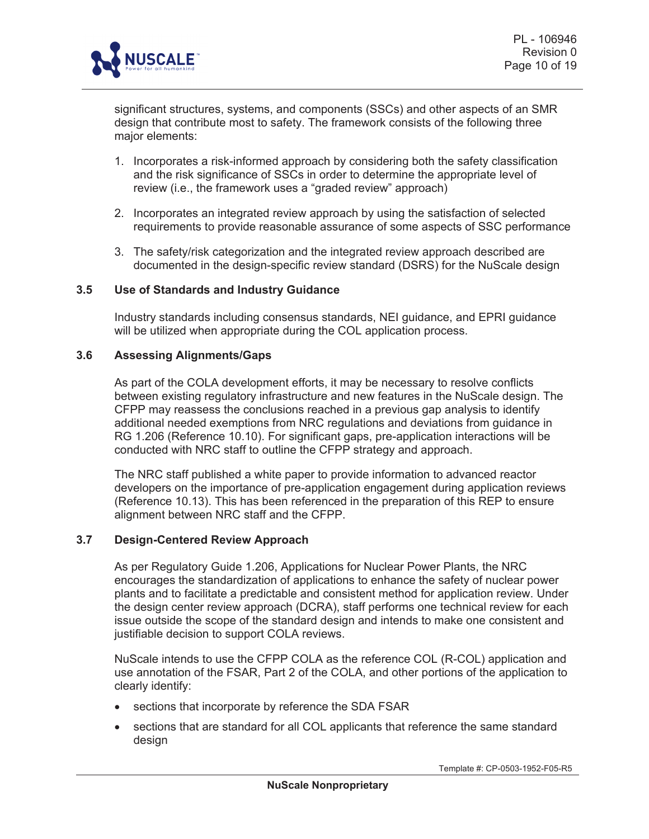

significant structures, systems, and components (SSCs) and other aspects of an SMR design that contribute most to safety. The framework consists of the following three major elements:

- 1. Incorporates a risk-informed approach by considering both the safety classification and the risk significance of SSCs in order to determine the appropriate level of review (i.e., the framework uses a "graded review" approach)
- 2. Incorporates an integrated review approach by using the satisfaction of selected requirements to provide reasonable assurance of some aspects of SSC performance
- 3. The safety/risk categorization and the integrated review approach described are documented in the design-specific review standard (DSRS) for the NuScale design

#### **3.5 Use of Standards and Industry Guidance**

Industry standards including consensus standards, NEI guidance, and EPRI guidance will be utilized when appropriate during the COL application process.

#### **3.6 Assessing Alignments/Gaps**

As part of the COLA development efforts, it may be necessary to resolve conflicts between existing regulatory infrastructure and new features in the NuScale design. The CFPP may reassess the conclusions reached in a previous gap analysis to identify additional needed exemptions from NRC regulations and deviations from guidance in RG 1.206 (Reference 10.10). For significant gaps, pre-application interactions will be conducted with NRC staff to outline the CFPP strategy and approach.

The NRC staff published a white paper to provide information to advanced reactor developers on the importance of pre-application engagement during application reviews (Reference 10.13). This has been referenced in the preparation of this REP to ensure alignment between NRC staff and the CFPP.

#### **3.7 Design-Centered Review Approach**

As per Regulatory Guide 1.206, Applications for Nuclear Power Plants, the NRC encourages the standardization of applications to enhance the safety of nuclear power plants and to facilitate a predictable and consistent method for application review. Under the design center review approach (DCRA), staff performs one technical review for each issue outside the scope of the standard design and intends to make one consistent and justifiable decision to support COLA reviews.

NuScale intends to use the CFPP COLA as the reference COL (R-COL) application and use annotation of the FSAR, Part 2 of the COLA, and other portions of the application to clearly identify:

- sections that incorporate by reference the SDA FSAR
- sections that are standard for all COL applicants that reference the same standard design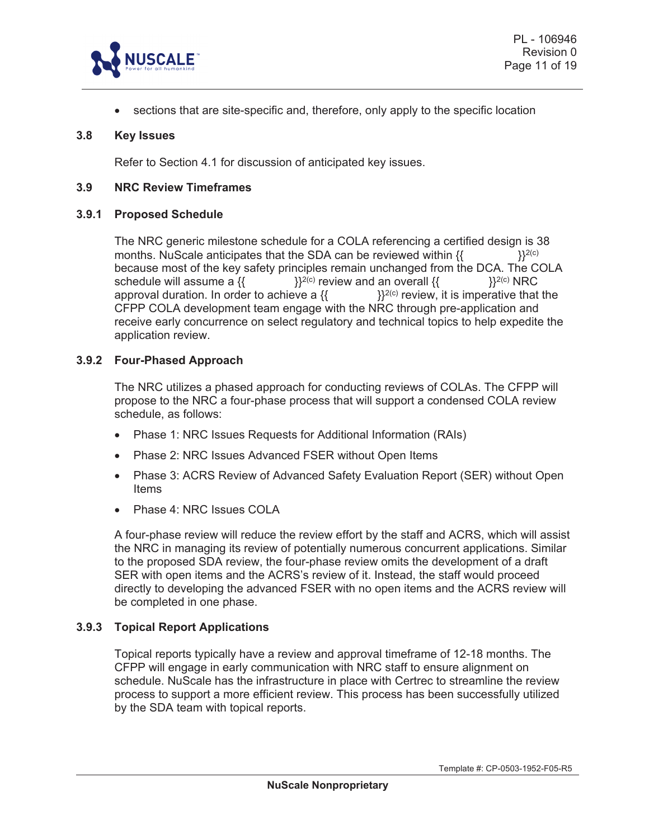

 $\bullet$  sections that are site-specific and, therefore, only apply to the specific location

#### **3.8 Key Issues**

Refer to Section 4.1 for discussion of anticipated key issues.

#### **3.9 NRC Review Timeframes**

#### **3.9.1 Proposed Schedule**

The NRC generic milestone schedule for a COLA referencing a certified design is 38 months. NuScale anticipates that the SDA can be reviewed within  $\{$ {  $\}^{2(c)}$ because most of the key safety principles remain unchanged from the DCA. The COLA schedule will assume a  $\{ \}^{2(c)}$  review and an overall  $\{ \}^{2(c)}$  NRC schedule will assume a  $\{\}$  and  $\}$ <sup>2(c)</sup> review and an overall  $\{$ approval duration. In order to achieve a  $\{$   $\}$   $\}$ <sup>2(c)</sup> review, it is imperative that the CFPP COLA development team engage with the NRC through pre-application and receive early concurrence on select regulatory and technical topics to help expedite the application review.

#### **3.9.2 Four-Phased Approach**

The NRC utilizes a phased approach for conducting reviews of COLAs. The CFPP will propose to the NRC a four-phase process that will support a condensed COLA review schedule, as follows:

- Phase 1: NRC Issues Requests for Additional Information (RAIs)
- Phase 2: NRC Issues Advanced FSER without Open Items
- Phase 3: ACRS Review of Advanced Safety Evaluation Report (SER) without Open Items
- Phase 4: NRC Issues COLA

A four-phase review will reduce the review effort by the staff and ACRS, which will assist the NRC in managing its review of potentially numerous concurrent applications. Similar to the proposed SDA review, the four-phase review omits the development of a draft SER with open items and the ACRS's review of it. Instead, the staff would proceed directly to developing the advanced FSER with no open items and the ACRS review will be completed in one phase.

#### **3.9.3 Topical Report Applications**

Topical reports typically have a review and approval timeframe of 12-18 months. The CFPP will engage in early communication with NRC staff to ensure alignment on schedule. NuScale has the infrastructure in place with Certrec to streamline the review process to support a more efficient review. This process has been successfully utilized by the SDA team with topical reports.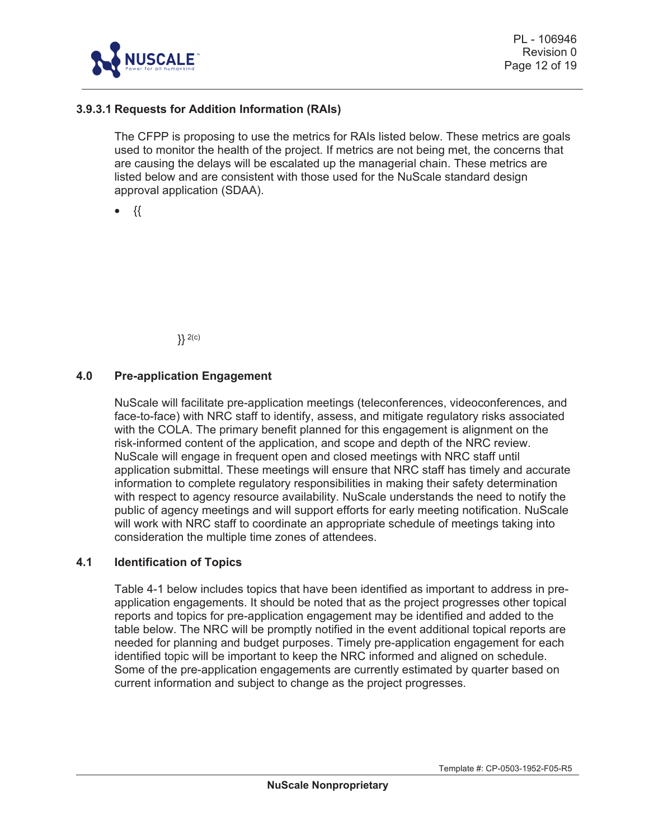

# **3.9.3.1 Requests for Addition Information (RAIs)**

The CFPP is proposing to use the metrics for RAIs listed below. These metrics are goals used to monitor the health of the project. If metrics are not being met, the concerns that are causing the delays will be escalated up the managerial chain. These metrics are listed below and are consistent with those used for the NuScale standard design approval application (SDAA).

 $\bullet$  {{

}} 2(c)

#### **4.0 Pre-application Engagement**

NuScale will facilitate pre-application meetings (teleconferences, videoconferences, and face-to-face) with NRC staff to identify, assess, and mitigate regulatory risks associated with the COLA. The primary benefit planned for this engagement is alignment on the risk-informed content of the application, and scope and depth of the NRC review. NuScale will engage in frequent open and closed meetings with NRC staff until application submittal. These meetings will ensure that NRC staff has timely and accurate information to complete regulatory responsibilities in making their safety determination with respect to agency resource availability. NuScale understands the need to notify the public of agency meetings and will support efforts for early meeting notification. NuScale will work with NRC staff to coordinate an appropriate schedule of meetings taking into consideration the multiple time zones of attendees.

#### **4.1 Identification of Topics**

Table 4-1 below includes topics that have been identified as important to address in preapplication engagements. It should be noted that as the project progresses other topical reports and topics for pre-application engagement may be identified and added to the table below. The NRC will be promptly notified in the event additional topical reports are needed for planning and budget purposes. Timely pre-application engagement for each identified topic will be important to keep the NRC informed and aligned on schedule. Some of the pre-application engagements are currently estimated by quarter based on current information and subject to change as the project progresses.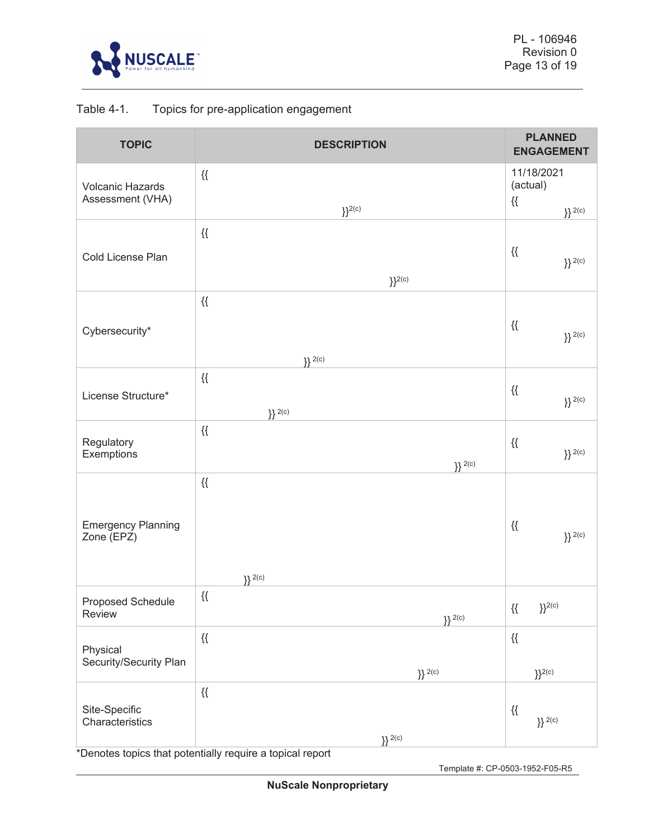

# Table 4-1. Topics for pre-application engagement

| 11/18/2021<br>$\{\{\}$<br>(actual)<br><b>Volcanic Hazards</b><br>Assessment (VHA)<br>$\{\{\}$<br>${}^{12(c)}$<br>$\}$ 2(c)<br>$\{\{\}$<br>$\{\{\}$<br>Cold License Plan<br>$\}$ 2(c)<br>$\}$ <sup>2(c)</sup><br>$\{\{\}$<br>$\{\{\}$<br>Cybersecurity*<br>$\}$ 2(c)<br>$\}$ 2(c)<br>$\{\{\}$<br>$\{\{\}$<br>License Structure*<br>$\}$ 2(c)<br>$\}$ 2(c)<br>$\mathcal{H}$<br>Regulatory<br>$\{\{\}$<br>$\}$ 2(c)<br>Exemptions<br>$\{3\}$ 2(c)<br>$\{\{\}$<br><b>Emergency Planning</b><br>$\{\{\}$<br>$\}$ 2(c)<br>Zone (EPZ)<br>$\}$ 2(c)<br>$\{\{\}$<br>Proposed Schedule<br>$\mathcal{H}$<br>$\}^{2(c)}$<br>Review<br>$\}$ 2(c)<br>$\{\{$<br>$\{\{\}$<br>Physical<br>Security/Security Plan<br>$\}$ 2(c)<br>$\}$ <sup>2(c)</sup><br>$\mathcal{H}$<br>Site-Specific<br>$\{\{\}$<br>$\}$ 2(c)<br>Characteristics | <b>TOPIC</b> | <b>DESCRIPTION</b> | <b>PLANNED</b><br><b>ENGAGEMENT</b> |  |
|--------------------------------------------------------------------------------------------------------------------------------------------------------------------------------------------------------------------------------------------------------------------------------------------------------------------------------------------------------------------------------------------------------------------------------------------------------------------------------------------------------------------------------------------------------------------------------------------------------------------------------------------------------------------------------------------------------------------------------------------------------------------------------------------------------------------|--------------|--------------------|-------------------------------------|--|
|                                                                                                                                                                                                                                                                                                                                                                                                                                                                                                                                                                                                                                                                                                                                                                                                                    |              |                    |                                     |  |
|                                                                                                                                                                                                                                                                                                                                                                                                                                                                                                                                                                                                                                                                                                                                                                                                                    |              |                    |                                     |  |
|                                                                                                                                                                                                                                                                                                                                                                                                                                                                                                                                                                                                                                                                                                                                                                                                                    |              |                    |                                     |  |
|                                                                                                                                                                                                                                                                                                                                                                                                                                                                                                                                                                                                                                                                                                                                                                                                                    |              |                    |                                     |  |
|                                                                                                                                                                                                                                                                                                                                                                                                                                                                                                                                                                                                                                                                                                                                                                                                                    |              |                    |                                     |  |
|                                                                                                                                                                                                                                                                                                                                                                                                                                                                                                                                                                                                                                                                                                                                                                                                                    |              |                    |                                     |  |
|                                                                                                                                                                                                                                                                                                                                                                                                                                                                                                                                                                                                                                                                                                                                                                                                                    |              |                    |                                     |  |
|                                                                                                                                                                                                                                                                                                                                                                                                                                                                                                                                                                                                                                                                                                                                                                                                                    |              |                    |                                     |  |
|                                                                                                                                                                                                                                                                                                                                                                                                                                                                                                                                                                                                                                                                                                                                                                                                                    |              |                    |                                     |  |
|                                                                                                                                                                                                                                                                                                                                                                                                                                                                                                                                                                                                                                                                                                                                                                                                                    |              |                    |                                     |  |
|                                                                                                                                                                                                                                                                                                                                                                                                                                                                                                                                                                                                                                                                                                                                                                                                                    |              |                    |                                     |  |
|                                                                                                                                                                                                                                                                                                                                                                                                                                                                                                                                                                                                                                                                                                                                                                                                                    |              |                    |                                     |  |
|                                                                                                                                                                                                                                                                                                                                                                                                                                                                                                                                                                                                                                                                                                                                                                                                                    |              |                    |                                     |  |
|                                                                                                                                                                                                                                                                                                                                                                                                                                                                                                                                                                                                                                                                                                                                                                                                                    |              |                    |                                     |  |
|                                                                                                                                                                                                                                                                                                                                                                                                                                                                                                                                                                                                                                                                                                                                                                                                                    |              |                    |                                     |  |
|                                                                                                                                                                                                                                                                                                                                                                                                                                                                                                                                                                                                                                                                                                                                                                                                                    |              |                    |                                     |  |
|                                                                                                                                                                                                                                                                                                                                                                                                                                                                                                                                                                                                                                                                                                                                                                                                                    |              |                    |                                     |  |
|                                                                                                                                                                                                                                                                                                                                                                                                                                                                                                                                                                                                                                                                                                                                                                                                                    |              |                    |                                     |  |
|                                                                                                                                                                                                                                                                                                                                                                                                                                                                                                                                                                                                                                                                                                                                                                                                                    |              |                    |                                     |  |
|                                                                                                                                                                                                                                                                                                                                                                                                                                                                                                                                                                                                                                                                                                                                                                                                                    |              | $\}$ 2(c)          |                                     |  |

\*Denotes topics that potentially require a topical report

Template #: CP-0503-1952-F05-R5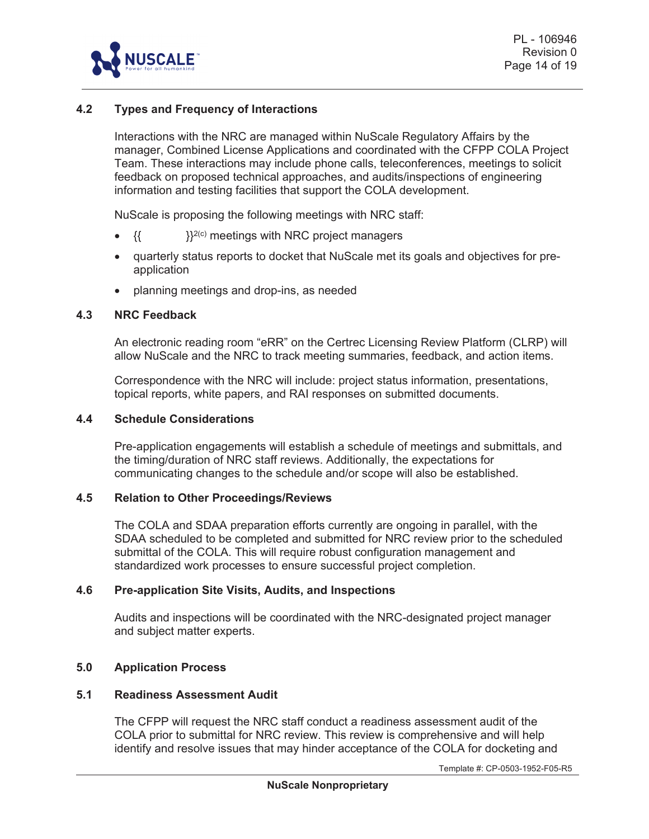

# **4.2 Types and Frequency of Interactions**

Interactions with the NRC are managed within NuScale Regulatory Affairs by the manager, Combined License Applications and coordinated with the CFPP COLA Project Team. These interactions may include phone calls, teleconferences, meetings to solicit feedback on proposed technical approaches, and audits/inspections of engineering information and testing facilities that support the COLA development.

NuScale is proposing the following meetings with NRC staff:

- $\{ \}$   $\}$ <sup>2(c)</sup> meetings with NRC project managers
- quarterly status reports to docket that NuScale met its goals and objectives for preapplication
- planning meetings and drop-ins, as needed

#### **4.3 NRC Feedback**

An electronic reading room "eRR" on the Certrec Licensing Review Platform (CLRP) will allow NuScale and the NRC to track meeting summaries, feedback, and action items.

Correspondence with the NRC will include: project status information, presentations, topical reports, white papers, and RAI responses on submitted documents.

#### **4.4 Schedule Considerations**

Pre-application engagements will establish a schedule of meetings and submittals, and the timing/duration of NRC staff reviews. Additionally, the expectations for communicating changes to the schedule and/or scope will also be established.

#### **4.5 Relation to Other Proceedings/Reviews**

The COLA and SDAA preparation efforts currently are ongoing in parallel, with the SDAA scheduled to be completed and submitted for NRC review prior to the scheduled submittal of the COLA. This will require robust configuration management and standardized work processes to ensure successful project completion.

#### **4.6 Pre-application Site Visits, Audits, and Inspections**

Audits and inspections will be coordinated with the NRC-designated project manager and subject matter experts.

#### **5.0 Application Process**

#### **5.1 Readiness Assessment Audit**

The CFPP will request the NRC staff conduct a readiness assessment audit of the COLA prior to submittal for NRC review. This review is comprehensive and will help identify and resolve issues that may hinder acceptance of the COLA for docketing and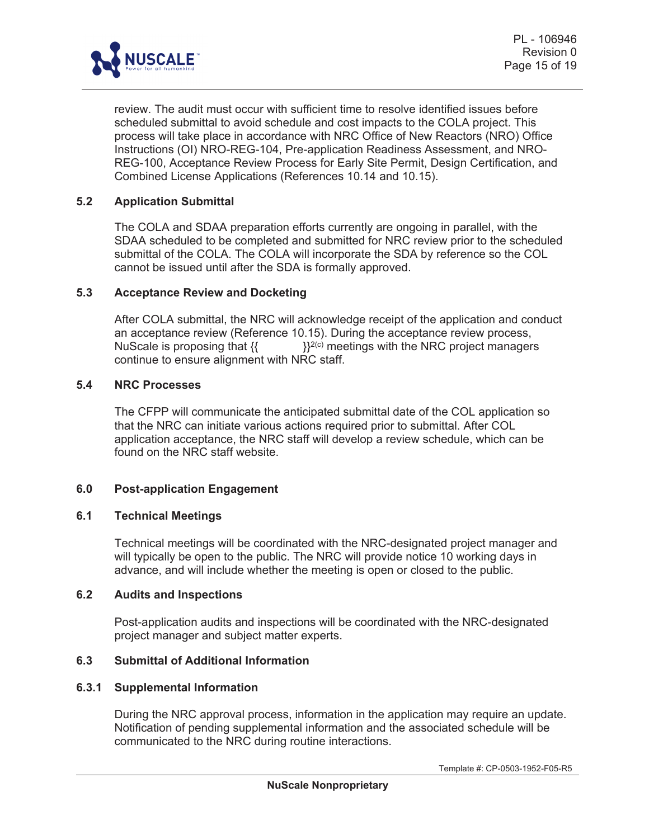

review. The audit must occur with sufficient time to resolve identified issues before scheduled submittal to avoid schedule and cost impacts to the COLA project. This process will take place in accordance with NRC Office of New Reactors (NRO) Office Instructions (OI) NRO-REG-104, Pre-application Readiness Assessment, and NRO-REG-100, Acceptance Review Process for Early Site Permit, Design Certification, and Combined License Applications (References 10.14 and 10.15).

## **5.2 Application Submittal**

The COLA and SDAA preparation efforts currently are ongoing in parallel, with the SDAA scheduled to be completed and submitted for NRC review prior to the scheduled submittal of the COLA. The COLA will incorporate the SDA by reference so the COL cannot be issued until after the SDA is formally approved.

#### **5.3 Acceptance Review and Docketing**

After COLA submittal, the NRC will acknowledge receipt of the application and conduct an acceptance review (Reference 10.15). During the acceptance review process, NuScale is proposing that  $\{ \}$   $\}^{2(c)}$  meetings with the NRC project managers continue to ensure alignment with NRC staff.

#### **5.4 NRC Processes**

The CFPP will communicate the anticipated submittal date of the COL application so that the NRC can initiate various actions required prior to submittal. After COL application acceptance, the NRC staff will develop a review schedule, which can be found on the NRC staff website.

# **6.0 Post-application Engagement**

#### **6.1 Technical Meetings**

Technical meetings will be coordinated with the NRC-designated project manager and will typically be open to the public. The NRC will provide notice 10 working days in advance, and will include whether the meeting is open or closed to the public.

# **6.2 Audits and Inspections**

Post-application audits and inspections will be coordinated with the NRC-designated project manager and subject matter experts.

# **6.3 Submittal of Additional Information**

#### **6.3.1 Supplemental Information**

During the NRC approval process, information in the application may require an update. Notification of pending supplemental information and the associated schedule will be communicated to the NRC during routine interactions.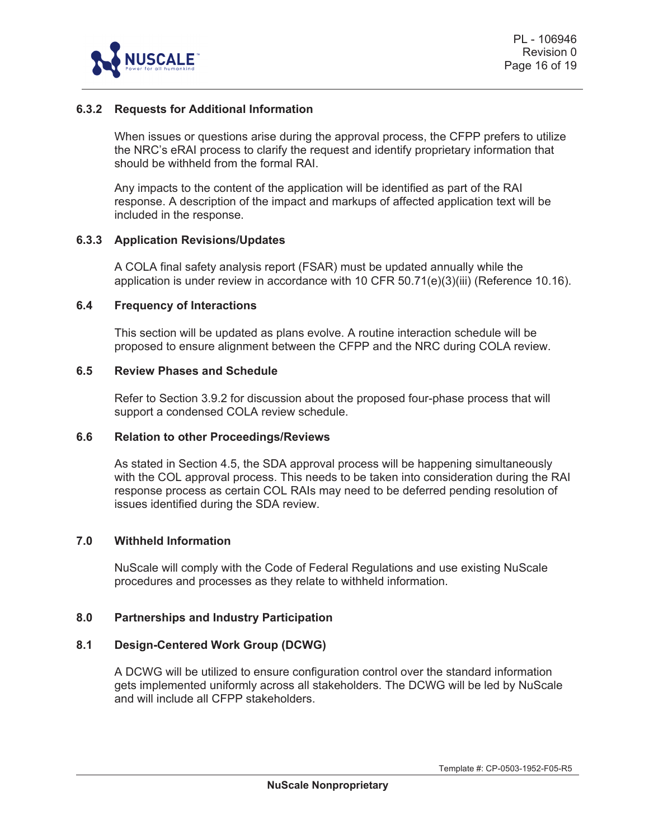

# **6.3.2 Requests for Additional Information**

When issues or questions arise during the approval process, the CFPP prefers to utilize the NRC's eRAI process to clarify the request and identify proprietary information that should be withheld from the formal RAI.

Any impacts to the content of the application will be identified as part of the RAI response. A description of the impact and markups of affected application text will be included in the response.

#### **6.3.3 Application Revisions/Updates**

A COLA final safety analysis report (FSAR) must be updated annually while the application is under review in accordance with 10 CFR 50.71(e)(3)(iii) (Reference 10.16).

#### **6.4 Frequency of Interactions**

This section will be updated as plans evolve. A routine interaction schedule will be proposed to ensure alignment between the CFPP and the NRC during COLA review.

#### **6.5 Review Phases and Schedule**

Refer to Section 3.9.2 for discussion about the proposed four-phase process that will support a condensed COLA review schedule.

# **6.6 Relation to other Proceedings/Reviews**

As stated in Section 4.5, the SDA approval process will be happening simultaneously with the COL approval process. This needs to be taken into consideration during the RAI response process as certain COL RAIs may need to be deferred pending resolution of issues identified during the SDA review.

#### **7.0 Withheld Information**

NuScale will comply with the Code of Federal Regulations and use existing NuScale procedures and processes as they relate to withheld information.

#### **8.0 Partnerships and Industry Participation**

#### **8.1 Design-Centered Work Group (DCWG)**

A DCWG will be utilized to ensure configuration control over the standard information gets implemented uniformly across all stakeholders. The DCWG will be led by NuScale and will include all CFPP stakeholders.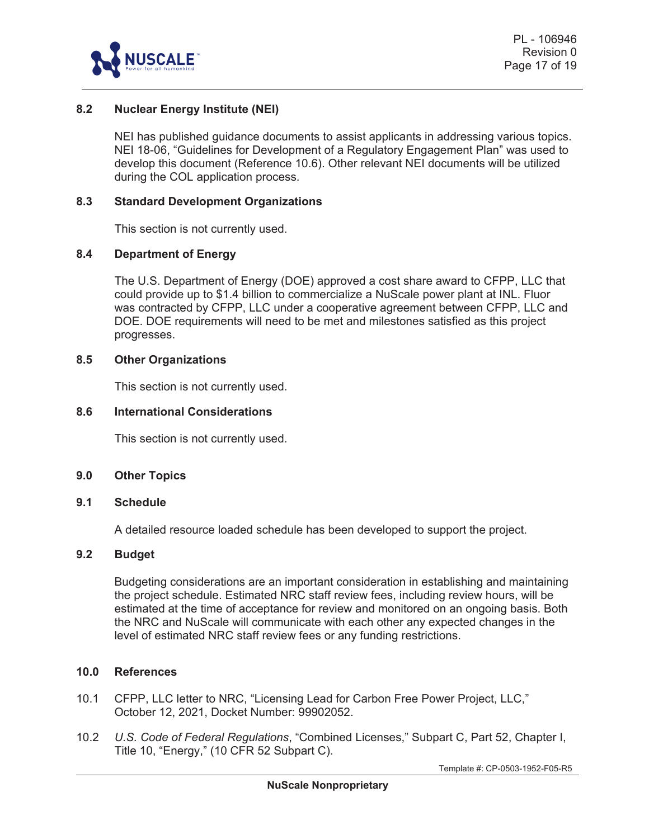

# **8.2 Nuclear Energy Institute (NEI)**

NEI has published guidance documents to assist applicants in addressing various topics. NEI 18-06, "Guidelines for Development of a Regulatory Engagement Plan" was used to develop this document (Reference 10.6). Other relevant NEI documents will be utilized during the COL application process.

#### **8.3 Standard Development Organizations**

This section is not currently used.

#### **8.4 Department of Energy**

The U.S. Department of Energy (DOE) approved a cost share award to CFPP, LLC that could provide up to \$1.4 billion to commercialize a NuScale power plant at INL. Fluor was contracted by CFPP, LLC under a cooperative agreement between CFPP, LLC and DOE. DOE requirements will need to be met and milestones satisfied as this project progresses.

#### **8.5 Other Organizations**

This section is not currently used.

#### **8.6 International Considerations**

This section is not currently used.

#### **9.0 Other Topics**

#### **9.1 Schedule**

A detailed resource loaded schedule has been developed to support the project.

#### **9.2 Budget**

Budgeting considerations are an important consideration in establishing and maintaining the project schedule. Estimated NRC staff review fees, including review hours, will be estimated at the time of acceptance for review and monitored on an ongoing basis. Both the NRC and NuScale will communicate with each other any expected changes in the level of estimated NRC staff review fees or any funding restrictions.

#### **10.0 References**

- 10.1 CFPP, LLC letter to NRC, "Licensing Lead for Carbon Free Power Project, LLC," October 12, 2021, Docket Number: 99902052.
- 10.2 *U.S. Code of Federal Regulations*, "Combined Licenses," Subpart C, Part 52, Chapter I, Title 10, "Energy," (10 CFR 52 Subpart C).

Template #: CP-0503-1952-F05-R5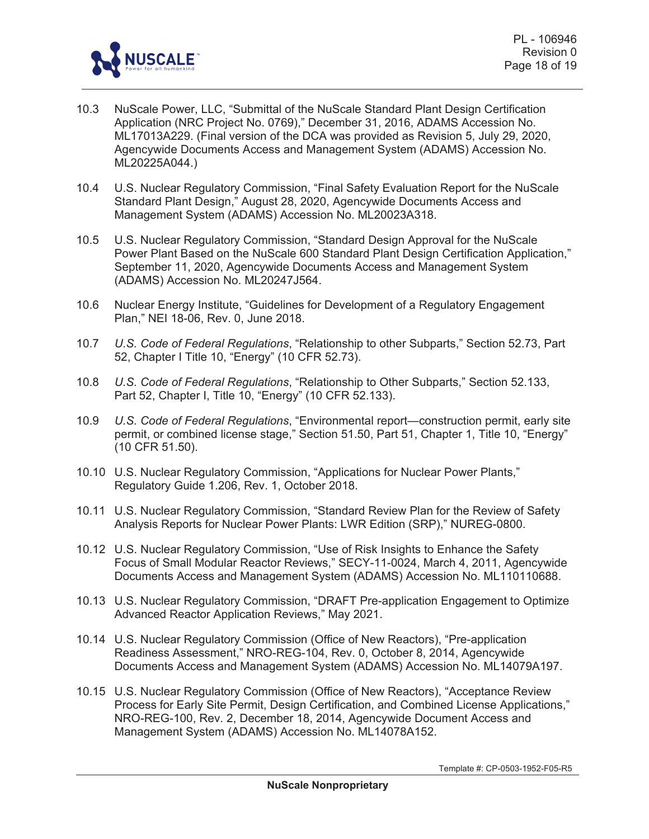

- 10.3 NuScale Power, LLC, "Submittal of the NuScale Standard Plant Design Certification Application (NRC Project No. 0769)," December 31, 2016, ADAMS Accession No. ML17013A229. (Final version of the DCA was provided as Revision 5, July 29, 2020, Agencywide Documents Access and Management System (ADAMS) Accession No. ML20225A044.)
- 10.4 U.S. Nuclear Regulatory Commission, "Final Safety Evaluation Report for the NuScale Standard Plant Design," August 28, 2020, Agencywide Documents Access and Management System (ADAMS) Accession No. ML20023A318.
- 10.5 U.S. Nuclear Regulatory Commission, "Standard Design Approval for the NuScale Power Plant Based on the NuScale 600 Standard Plant Design Certification Application," September 11, 2020, Agencywide Documents Access and Management System (ADAMS) Accession No. ML20247J564.
- 10.6 Nuclear Energy Institute, "Guidelines for Development of a Regulatory Engagement Plan," NEI 18-06, Rev. 0, June 2018.
- 10.7 *U.S. Code of Federal Regulations*, "Relationship to other Subparts," Section 52.73, Part 52, Chapter I Title 10, "Energy" (10 CFR 52.73).
- 10.8 *U.S. Code of Federal Regulations*, "Relationship to Other Subparts," Section 52.133, Part 52, Chapter I, Title 10, "Energy" (10 CFR 52.133).
- 10.9 *U.S. Code of Federal Regulations*, "Environmental report—construction permit, early site permit, or combined license stage," Section 51.50, Part 51, Chapter 1, Title 10, "Energy" (10 CFR 51.50).
- 10.10 U.S. Nuclear Regulatory Commission, "Applications for Nuclear Power Plants," Regulatory Guide 1.206, Rev. 1, October 2018.
- 10.11 U.S. Nuclear Regulatory Commission, "Standard Review Plan for the Review of Safety Analysis Reports for Nuclear Power Plants: LWR Edition (SRP)," NUREG-0800.
- 10.12 U.S. Nuclear Regulatory Commission, "Use of Risk Insights to Enhance the Safety Focus of Small Modular Reactor Reviews," SECY-11-0024, March 4, 2011, Agencywide Documents Access and Management System (ADAMS) Accession No. ML110110688.
- 10.13 U.S. Nuclear Regulatory Commission, "DRAFT Pre-application Engagement to Optimize Advanced Reactor Application Reviews," May 2021.
- 10.14 U.S. Nuclear Regulatory Commission (Office of New Reactors), "Pre-application Readiness Assessment," NRO-REG-104, Rev. 0, October 8, 2014, Agencywide Documents Access and Management System (ADAMS) Accession No. ML14079A197.
- 10.15 U.S. Nuclear Regulatory Commission (Office of New Reactors), "Acceptance Review Process for Early Site Permit, Design Certification, and Combined License Applications," NRO-REG-100, Rev. 2, December 18, 2014, Agencywide Document Access and Management System (ADAMS) Accession No. ML14078A152.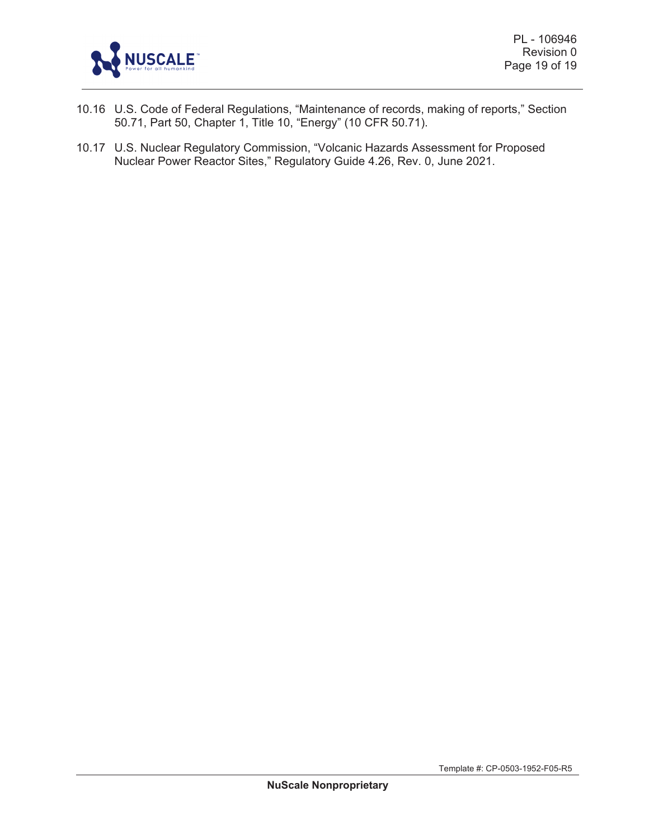

- 10.16 U.S. Code of Federal Regulations, "Maintenance of records, making of reports," Section 50.71, Part 50, Chapter 1, Title 10, "Energy" (10 CFR 50.71).
- 10.17 U.S. Nuclear Regulatory Commission, "Volcanic Hazards Assessment for Proposed Nuclear Power Reactor Sites," Regulatory Guide 4.26, Rev. 0, June 2021.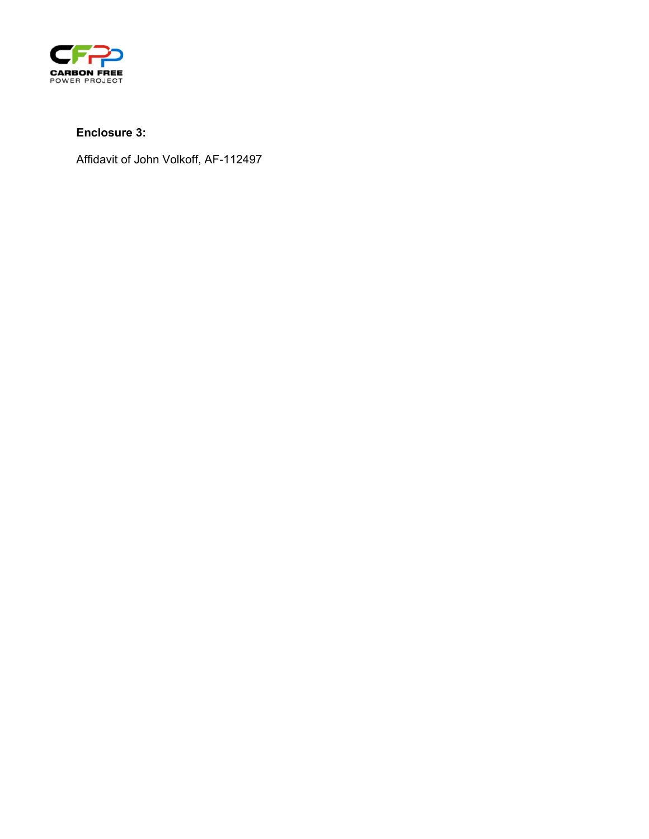

# **Enclosure 3:**

Affidavit of John Volkoff, AF-112497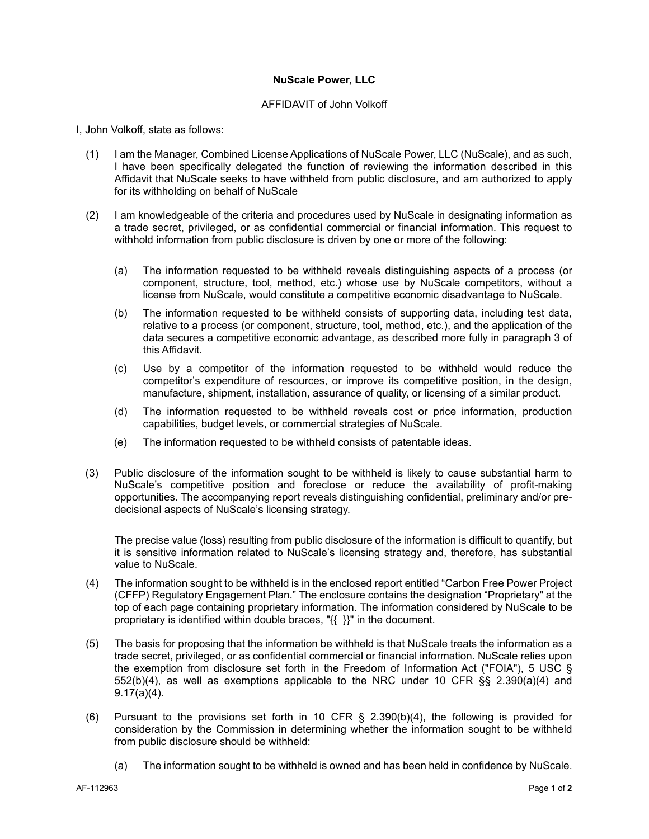#### **NuScale Power, LLC**

#### AFFIDAVIT of John Volkoff

I, John Volkoff, state as follows:

- (1) I am the Manager, Combined License Applications of NuScale Power, LLC (NuScale), and as such, I have been specifically delegated the function of reviewing the information described in this Affidavit that NuScale seeks to have withheld from public disclosure, and am authorized to apply for its withholding on behalf of NuScale
- (2) I am knowledgeable of the criteria and procedures used by NuScale in designating information as a trade secret, privileged, or as confidential commercial or financial information. This request to withhold information from public disclosure is driven by one or more of the following:
	- (a) The information requested to be withheld reveals distinguishing aspects of a process (or component, structure, tool, method, etc.) whose use by NuScale competitors, without a license from NuScale, would constitute a competitive economic disadvantage to NuScale.
	- (b) The information requested to be withheld consists of supporting data, including test data, relative to a process (or component, structure, tool, method, etc.), and the application of the data secures a competitive economic advantage, as described more fully in paragraph 3 of this Affidavit.
	- (c) Use by a competitor of the information requested to be withheld would reduce the competitor's expenditure of resources, or improve its competitive position, in the design, manufacture, shipment, installation, assurance of quality, or licensing of a similar product.
	- (d) The information requested to be withheld reveals cost or price information, production capabilities, budget levels, or commercial strategies of NuScale.
	- (e) The information requested to be withheld consists of patentable ideas.
- (3) Public disclosure of the information sought to be withheld is likely to cause substantial harm to NuScale's competitive position and foreclose or reduce the availability of profit-making opportunities. The accompanying report reveals distinguishing confidential, preliminary and/or predecisional aspects of NuScale's licensing strategy.

The precise value (loss) resulting from public disclosure of the information is difficult to quantify, but it is sensitive information related to NuScale's licensing strategy and, therefore, has substantial value to NuScale.

- (4) The information sought to be withheld is in the enclosed report entitled "Carbon Free Power Project (CFFP) Regulatory Engagement Plan." The enclosure contains the designation "Proprietary" at the top of each page containing proprietary information. The information considered by NuScale to be proprietary is identified within double braces, "{{ }}" in the document.
- (5) The basis for proposing that the information be withheld is that NuScale treats the information as a trade secret, privileged, or as confidential commercial or financial information. NuScale relies upon the exemption from disclosure set forth in the Freedom of Information Act ("FOIA"), 5 USC § 552(b)(4), as well as exemptions applicable to the NRC under 10 CFR §§ 2.390(a)(4) and 9.17(a)(4).
- (6) Pursuant to the provisions set forth in 10 CFR § 2.390(b)(4), the following is provided for consideration by the Commission in determining whether the information sought to be withheld from public disclosure should be withheld:
	- (a) The information sought to be withheld is owned and has been held in confidence by NuScale.